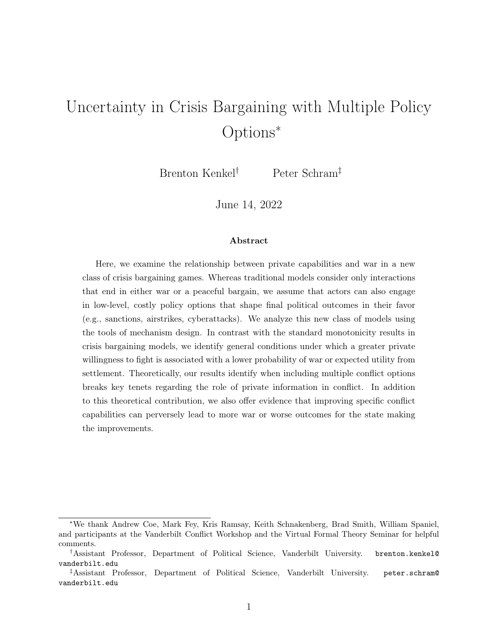# <span id="page-0-0"></span>Uncertainty in Crisis Bargaining with Multiple Policy Options<sup>∗</sup>

Brenton Kenkel† Peter Schram‡

June 14, 2022

#### Abstract

Here, we examine the relationship between private capabilities and war in a new class of crisis bargaining games. Whereas traditional models consider only interactions that end in either war or a peaceful bargain, we assume that actors can also engage in low-level, costly policy options that shape final political outcomes in their favor (e.g., sanctions, airstrikes, cyberattacks). We analyze this new class of models using the tools of mechanism design. In contrast with the standard monotonicity results in crisis bargaining models, we identify general conditions under which a greater private willingness to fight is associated with a lower probability of war or expected utility from settlement. Theoretically, our results identify when including multiple conflict options breaks key tenets regarding the role of private information in conflict. In addition to this theoretical contribution, we also offer evidence that improving specific conflict capabilities can perversely lead to more war or worse outcomes for the state making the improvements.

<sup>∗</sup>We thank Andrew Coe, Mark Fey, Kris Ramsay, Keith Schnakenberg, Brad Smith, William Spaniel, and participants at the Vanderbilt Conflict Workshop and the Virtual Formal Theory Seminar for helpful comments.

<sup>†</sup>Assistant Professor, Department of Political Science, Vanderbilt University. brenton.kenkel@ vanderbilt.edu

<sup>‡</sup>Assistant Professor, Department of Political Science, Vanderbilt University. peter.schram@ vanderbilt.edu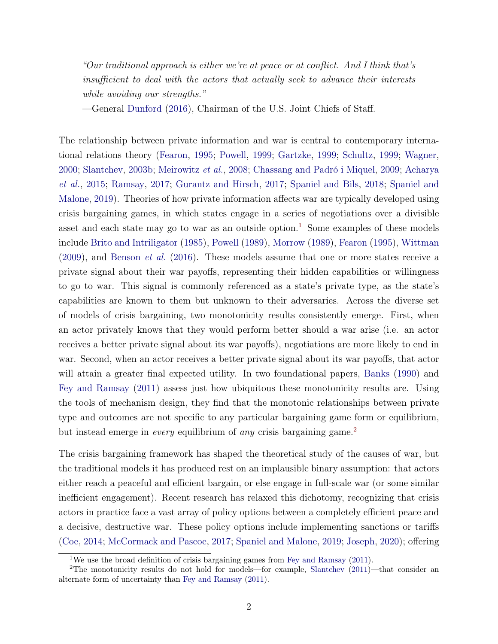"Our traditional approach is either we're at peace or at conflict. And I think that's insufficient to deal with the actors that actually seek to advance their interests while avoiding our strengths."

—General [Dunford](#page-34-0) [\(2016\)](#page-34-0), Chairman of the U.S. Joint Chiefs of Staff.

The relationship between private information and war is central to contemporary international relations theory [\(Fearon,](#page-34-1) [1995;](#page-34-1) [Powell,](#page-37-0) [1999;](#page-37-0) [Gartzke,](#page-34-2) [1999;](#page-34-2) [Schultz,](#page-37-1) [1999;](#page-37-1) [Wagner,](#page-39-0) [2000;](#page-39-0) [Slantchev,](#page-38-0) [2003b;](#page-38-0) [Meirowitz](#page-36-0) et al., [2008;](#page-36-0) [Chassang and Padró i Miquel,](#page-33-0) [2009;](#page-33-0) [Acharya](#page-31-0) [et al.](#page-31-0), [2015;](#page-31-0) [Ramsay,](#page-37-2) [2017;](#page-37-2) [Gurantz and Hirsch,](#page-35-0) [2017;](#page-35-0) [Spaniel and Bils,](#page-38-1) [2018;](#page-38-1) [Spaniel and](#page-38-2) [Malone,](#page-38-2) [2019\)](#page-38-2). Theories of how private information affects war are typically developed using crisis bargaining games, in which states engage in a series of negotiations over a divisible asset and each state may go to war as an outside option.<sup>[1](#page-1-0)</sup> Some examples of these models include [Brito and Intriligator](#page-33-1) [\(1985\)](#page-33-1), [Powell](#page-37-3) [\(1989\)](#page-37-3), [Morrow](#page-36-1) [\(1989\)](#page-36-1), [Fearon](#page-34-1) [\(1995\)](#page-34-1), [Wittman](#page-39-1) [\(2009\)](#page-39-1), and [Benson](#page-33-2) et al. [\(2016\)](#page-33-2). These models assume that one or more states receive a private signal about their war payoffs, representing their hidden capabilities or willingness to go to war. This signal is commonly referenced as a state's private type, as the state's capabilities are known to them but unknown to their adversaries. Across the diverse set of models of crisis bargaining, two monotonicity results consistently emerge. First, when an actor privately knows that they would perform better should a war arise (i.e. an actor receives a better private signal about its war payoffs), negotiations are more likely to end in war. Second, when an actor receives a better private signal about its war payoffs, that actor will attain a greater final expected utility. In two foundational papers, [Banks](#page-32-0) [\(1990\)](#page-32-0) and [Fey and Ramsay](#page-34-3) [\(2011\)](#page-34-3) assess just how ubiquitous these monotonicity results are. Using the tools of mechanism design, they find that the monotonic relationships between private type and outcomes are not specific to any particular bargaining game form or equilibrium, but instead emerge in *every* equilibrium of *any* crisis bargaining game.<sup>[2](#page-1-1)</sup>

The crisis bargaining framework has shaped the theoretical study of the causes of war, but the traditional models it has produced rest on an implausible binary assumption: that actors either reach a peaceful and efficient bargain, or else engage in full-scale war (or some similar inefficient engagement). Recent research has relaxed this dichotomy, recognizing that crisis actors in practice face a vast array of policy options between a completely efficient peace and a decisive, destructive war. These policy options include implementing sanctions or tariffs [\(Coe,](#page-33-3) [2014;](#page-33-3) [McCormack and Pascoe,](#page-36-2) [2017;](#page-36-2) [Spaniel and Malone,](#page-38-2) [2019;](#page-38-2) [Joseph,](#page-35-1) [2020\)](#page-35-1); offering

<span id="page-1-1"></span><span id="page-1-0"></span><sup>&</sup>lt;sup>1</sup>We use the broad definition of crisis bargaining games from [Fey and Ramsay](#page-34-3) [\(2011\)](#page-34-3).

<sup>2</sup>The monotonicity results do not hold for models—for example, [Slantchev](#page-38-3) [\(2011\)](#page-38-3)—that consider an alternate form of uncertainty than [Fey and Ramsay](#page-34-3) [\(2011\)](#page-34-3).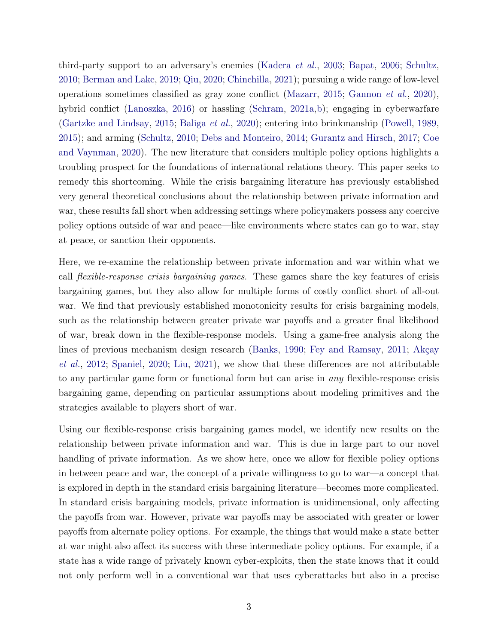third-party support to an adversary's enemies [\(Kadera](#page-35-2) et al., [2003;](#page-35-2) [Bapat,](#page-32-1) [2006;](#page-32-1) [Schultz,](#page-38-4) [2010;](#page-38-4) [Berman and Lake,](#page-33-4) [2019;](#page-33-4) [Qiu,](#page-37-4) [2020;](#page-37-4) [Chinchilla,](#page-33-5) [2021\)](#page-33-5); pursuing a wide range of low-level operations sometimes classified as gray zone conflict [\(Mazarr,](#page-36-3) [2015;](#page-36-3) [Gannon](#page-34-4) et al., [2020\)](#page-34-4), hybrid conflict [\(Lanoszka,](#page-35-3) [2016\)](#page-35-3) or hassling [\(Schram,](#page-37-5) [2021a,](#page-37-5)[b\)](#page-37-6); engaging in cyberwarfare [\(Gartzke and Lindsay,](#page-35-4) [2015;](#page-35-4) [Baliga](#page-32-2) et al., [2020\)](#page-32-2); entering into brinkmanship [\(Powell,](#page-37-3) [1989,](#page-37-3) [2015\)](#page-37-7); and arming [\(Schultz,](#page-38-4) [2010;](#page-38-4) [Debs and Monteiro,](#page-34-5) [2014;](#page-34-5) [Gurantz and Hirsch,](#page-35-0) [2017;](#page-35-0) [Coe](#page-33-6) [and Vaynman,](#page-33-6) [2020\)](#page-33-6). The new literature that considers multiple policy options highlights a troubling prospect for the foundations of international relations theory. This paper seeks to remedy this shortcoming. While the crisis bargaining literature has previously established very general theoretical conclusions about the relationship between private information and war, these results fall short when addressing settings where policymakers possess any coercive policy options outside of war and peace—like environments where states can go to war, stay at peace, or sanction their opponents.

Here, we re-examine the relationship between private information and war within what we call flexible-response crisis bargaining games. These games share the key features of crisis bargaining games, but they also allow for multiple forms of costly conflict short of all-out war. We find that previously established monotonicity results for crisis bargaining models, such as the relationship between greater private war payoffs and a greater final likelihood of war, break down in the flexible-response models. Using a game-free analysis along the lines of previous mechanism design research [\(Banks,](#page-32-0) [1990;](#page-32-0) [Fey and Ramsay,](#page-34-3) [2011;](#page-34-3) [Akçay](#page-31-1) [et al.](#page-31-1), [2012;](#page-31-1) [Spaniel,](#page-38-5) [2020;](#page-38-5) [Liu,](#page-36-4) [2021\)](#page-36-4), we show that these differences are not attributable to any particular game form or functional form but can arise in any flexible-response crisis bargaining game, depending on particular assumptions about modeling primitives and the strategies available to players short of war.

Using our flexible-response crisis bargaining games model, we identify new results on the relationship between private information and war. This is due in large part to our novel handling of private information. As we show here, once we allow for flexible policy options in between peace and war, the concept of a private willingness to go to war—a concept that is explored in depth in the standard crisis bargaining literature—becomes more complicated. In standard crisis bargaining models, private information is unidimensional, only affecting the payoffs from war. However, private war payoffs may be associated with greater or lower payoffs from alternate policy options. For example, the things that would make a state better at war might also affect its success with these intermediate policy options. For example, if a state has a wide range of privately known cyber-exploits, then the state knows that it could not only perform well in a conventional war that uses cyberattacks but also in a precise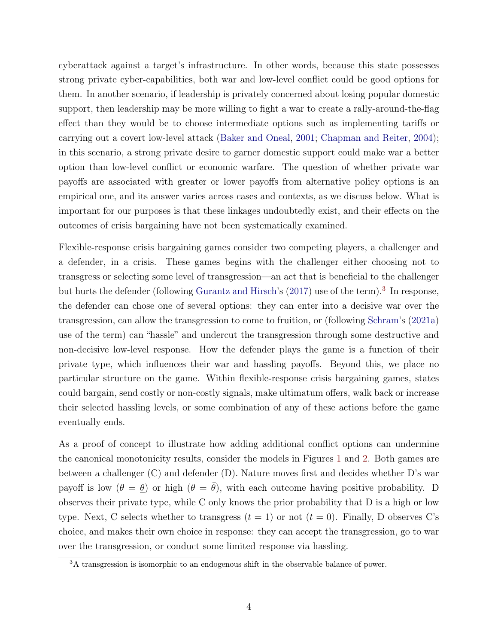cyberattack against a target's infrastructure. In other words, because this state possesses strong private cyber-capabilities, both war and low-level conflict could be good options for them. In another scenario, if leadership is privately concerned about losing popular domestic support, then leadership may be more willing to fight a war to create a rally-around-the-flag effect than they would be to choose intermediate options such as implementing tariffs or carrying out a covert low-level attack [\(Baker and Oneal,](#page-32-3) [2001;](#page-32-3) [Chapman and Reiter,](#page-33-7) [2004\)](#page-33-7); in this scenario, a strong private desire to garner domestic support could make war a better option than low-level conflict or economic warfare. The question of whether private war payoffs are associated with greater or lower payoffs from alternative policy options is an empirical one, and its answer varies across cases and contexts, as we discuss below. What is important for our purposes is that these linkages undoubtedly exist, and their effects on the outcomes of crisis bargaining have not been systematically examined.

Flexible-response crisis bargaining games consider two competing players, a challenger and a defender, in a crisis. These games begins with the challenger either choosing not to transgress or selecting some level of transgression—an act that is beneficial to the challenger but hurts the defender (following [Gurantz and Hirsch'](#page-35-0)s [\(2017\)](#page-35-0) use of the term).<sup>[3](#page-3-0)</sup> In response, the defender can chose one of several options: they can enter into a decisive war over the transgression, can allow the transgression to come to fruition, or (following [Schram'](#page-37-5)s [\(2021a\)](#page-37-5) use of the term) can "hassle" and undercut the transgression through some destructive and non-decisive low-level response. How the defender plays the game is a function of their private type, which influences their war and hassling payoffs. Beyond this, we place no particular structure on the game. Within flexible-response crisis bargaining games, states could bargain, send costly or non-costly signals, make ultimatum offers, walk back or increase their selected hassling levels, or some combination of any of these actions before the game eventually ends.

As a proof of concept to illustrate how adding additional conflict options can undermine the canonical monotonicity results, consider the models in Figures [1](#page-4-0) and [2.](#page-5-0) Both games are between a challenger (C) and defender (D). Nature moves first and decides whether D's war payoff is low  $(\theta = \theta)$  or high  $(\theta = \bar{\theta})$ , with each outcome having positive probability. D observes their private type, while C only knows the prior probability that D is a high or low type. Next, C selects whether to transgress  $(t = 1)$  or not  $(t = 0)$ . Finally, D observes C's choice, and makes their own choice in response: they can accept the transgression, go to war over the transgression, or conduct some limited response via hassling.

<span id="page-3-0"></span><sup>&</sup>lt;sup>3</sup>A transgression is isomorphic to an endogenous shift in the observable balance of power.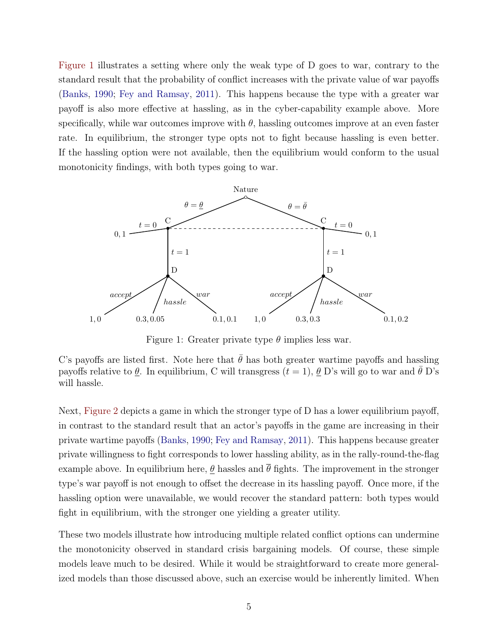[Figure 1](#page-4-0) illustrates a setting where only the weak type of D goes to war, contrary to the standard result that the probability of conflict increases with the private value of war payoffs [\(Banks,](#page-32-0) [1990;](#page-32-0) [Fey and Ramsay,](#page-34-3) [2011\)](#page-34-3). This happens because the type with a greater war payoff is also more effective at hassling, as in the cyber-capability example above. More specifically, while war outcomes improve with  $\theta$ , hassling outcomes improve at an even faster rate. In equilibrium, the stronger type opts not to fight because hassling is even better. If the hassling option were not available, then the equilibrium would conform to the usual monotonicity findings, with both types going to war.

<span id="page-4-0"></span>

Figure 1: Greater private type  $\theta$  implies less war.

C's payoffs are listed first. Note here that  $\bar{\theta}$  has both greater wartime payoffs and hassling payoffs relative to  $\theta$ . In equilibrium, C will transgress  $(t = 1)$ ,  $\theta$  D's will go to war and  $\bar{\theta}$  D's will hassle.

Next, [Figure 2](#page-5-0) depicts a game in which the stronger type of D has a lower equilibrium payoff, in contrast to the standard result that an actor's payoffs in the game are increasing in their private wartime payoffs [\(Banks,](#page-32-0) [1990;](#page-32-0) [Fey and Ramsay,](#page-34-3) [2011\)](#page-34-3). This happens because greater private willingness to fight corresponds to lower hassling ability, as in the rally-round-the-flag example above. In equilibrium here,  $\theta$  hassles and  $\bar{\theta}$  fights. The improvement in the stronger type's war payoff is not enough to offset the decrease in its hassling payoff. Once more, if the hassling option were unavailable, we would recover the standard pattern: both types would fight in equilibrium, with the stronger one yielding a greater utility.

These two models illustrate how introducing multiple related conflict options can undermine the monotonicity observed in standard crisis bargaining models. Of course, these simple models leave much to be desired. While it would be straightforward to create more generalized models than those discussed above, such an exercise would be inherently limited. When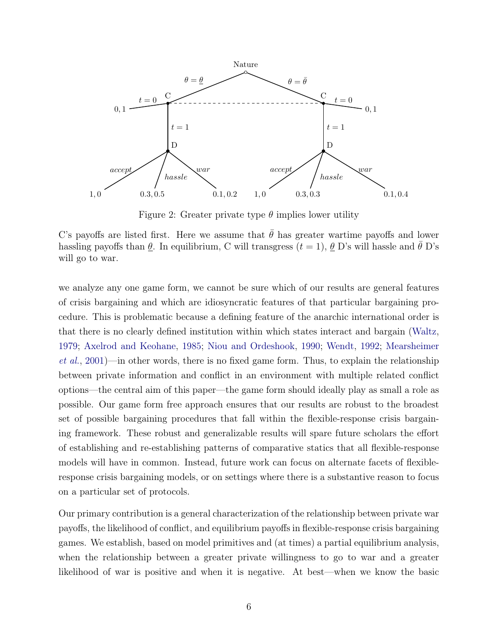<span id="page-5-0"></span>

Figure 2: Greater private type  $\theta$  implies lower utility

C's payoffs are listed first. Here we assume that  $\hat{\theta}$  has greater wartime payoffs and lower hassling payoffs than  $\theta$ . In equilibrium, C will transgress  $(t = 1)$ ,  $\theta$  D's will hassle and  $\theta$  D's will go to war.

we analyze any one game form, we cannot be sure which of our results are general features of crisis bargaining and which are idiosyncratic features of that particular bargaining procedure. This is problematic because a defining feature of the anarchic international order is that there is no clearly defined institution within which states interact and bargain [\(Waltz,](#page-39-2) [1979;](#page-39-2) [Axelrod and Keohane,](#page-32-4) [1985;](#page-32-4) [Niou and Ordeshook,](#page-36-5) [1990;](#page-36-5) [Wendt,](#page-39-3) [1992;](#page-39-3) [Mearsheimer](#page-36-6) [et al.](#page-36-6), [2001\)](#page-36-6)—in other words, there is no fixed game form. Thus, to explain the relationship between private information and conflict in an environment with multiple related conflict options—the central aim of this paper—the game form should ideally play as small a role as possible. Our game form free approach ensures that our results are robust to the broadest set of possible bargaining procedures that fall within the flexible-response crisis bargaining framework. These robust and generalizable results will spare future scholars the effort of establishing and re-establishing patterns of comparative statics that all flexible-response models will have in common. Instead, future work can focus on alternate facets of flexibleresponse crisis bargaining models, or on settings where there is a substantive reason to focus on a particular set of protocols.

Our primary contribution is a general characterization of the relationship between private war payoffs, the likelihood of conflict, and equilibrium payoffs in flexible-response crisis bargaining games. We establish, based on model primitives and (at times) a partial equilibrium analysis, when the relationship between a greater private willingness to go to war and a greater likelihood of war is positive and when it is negative. At best—when we know the basic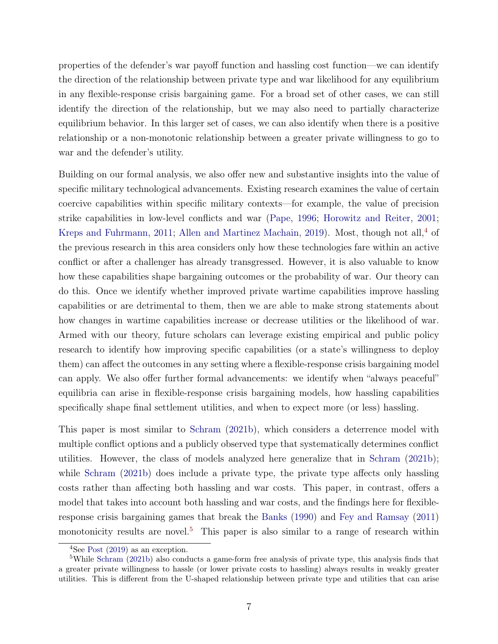properties of the defender's war payoff function and hassling cost function—we can identify the direction of the relationship between private type and war likelihood for any equilibrium in any flexible-response crisis bargaining game. For a broad set of other cases, we can still identify the direction of the relationship, but we may also need to partially characterize equilibrium behavior. In this larger set of cases, we can also identify when there is a positive relationship or a non-monotonic relationship between a greater private willingness to go to war and the defender's utility.

Building on our formal analysis, we also offer new and substantive insights into the value of specific military technological advancements. Existing research examines the value of certain coercive capabilities within specific military contexts—for example, the value of precision strike capabilities in low-level conflicts and war [\(Pape,](#page-36-7) [1996;](#page-36-7) [Horowitz and Reiter,](#page-35-5) [2001;](#page-35-5) [Kreps and Fuhrmann,](#page-35-6) [2011;](#page-35-6) [Allen and Martinez Machain,](#page-32-5) [2019\)](#page-32-5). Most, though not all,  $4$  of the previous research in this area considers only how these technologies fare within an active conflict or after a challenger has already transgressed. However, it is also valuable to know how these capabilities shape bargaining outcomes or the probability of war. Our theory can do this. Once we identify whether improved private wartime capabilities improve hassling capabilities or are detrimental to them, then we are able to make strong statements about how changes in wartime capabilities increase or decrease utilities or the likelihood of war. Armed with our theory, future scholars can leverage existing empirical and public policy research to identify how improving specific capabilities (or a state's willingness to deploy them) can affect the outcomes in any setting where a flexible-response crisis bargaining model can apply. We also offer further formal advancements: we identify when "always peaceful" equilibria can arise in flexible-response crisis bargaining models, how hassling capabilities specifically shape final settlement utilities, and when to expect more (or less) hassling.

This paper is most similar to [Schram](#page-37-6) [\(2021b\)](#page-37-6), which considers a deterrence model with multiple conflict options and a publicly observed type that systematically determines conflict utilities. However, the class of models analyzed here generalize that in [Schram](#page-37-6) [\(2021b\)](#page-37-6); while [Schram](#page-37-6) [\(2021b\)](#page-37-6) does include a private type, the private type affects only hassling costs rather than affecting both hassling and war costs. This paper, in contrast, offers a model that takes into account both hassling and war costs, and the findings here for flexibleresponse crisis bargaining games that break the [Banks](#page-32-0) [\(1990\)](#page-32-0) and [Fey and Ramsay](#page-34-3) [\(2011\)](#page-34-3) monotonicity results are novel.<sup>[5](#page-6-1)</sup> This paper is also similar to a range of research within

<span id="page-6-1"></span><span id="page-6-0"></span> $4$ See [Post](#page-37-8) [\(2019\)](#page-37-8) as an exception.

<sup>5</sup>While [Schram](#page-37-6) [\(2021b\)](#page-37-6) also conducts a game-form free analysis of private type, this analysis finds that a greater private willingness to hassle (or lower private costs to hassling) always results in weakly greater utilities. This is different from the U-shaped relationship between private type and utilities that can arise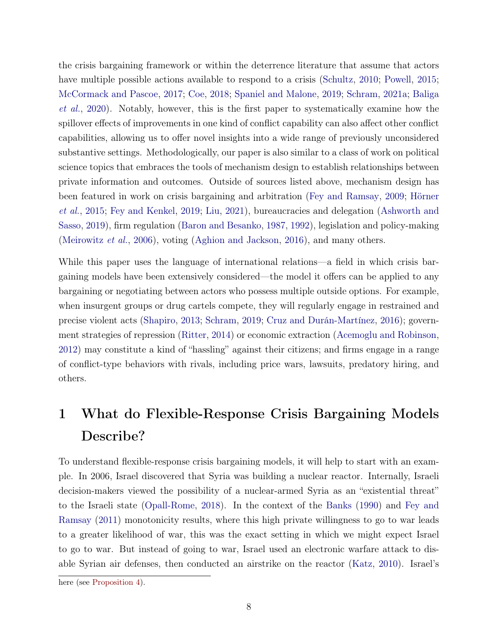the crisis bargaining framework or within the deterrence literature that assume that actors have multiple possible actions available to respond to a crisis [\(Schultz,](#page-38-4) [2010;](#page-38-4) [Powell,](#page-37-7) [2015;](#page-37-7) [McCormack and Pascoe,](#page-36-2) [2017;](#page-36-2) [Coe,](#page-33-8) [2018;](#page-33-8) [Spaniel and Malone,](#page-38-2) [2019;](#page-38-2) [Schram,](#page-37-5) [2021a;](#page-37-5) [Baliga](#page-32-2) [et al.](#page-32-2), [2020\)](#page-32-2). Notably, however, this is the first paper to systematically examine how the spillover effects of improvements in one kind of conflict capability can also affect other conflict capabilities, allowing us to offer novel insights into a wide range of previously unconsidered substantive settings. Methodologically, our paper is also similar to a class of work on political science topics that embraces the tools of mechanism design to establish relationships between private information and outcomes. Outside of sources listed above, mechanism design has been featured in work on crisis bargaining and arbitration [\(Fey and Ramsay,](#page-34-6) [2009;](#page-34-6) [Hörner](#page-35-7) [et al.](#page-35-7), [2015;](#page-35-7) [Fey and Kenkel,](#page-34-7) [2019;](#page-34-7) [Liu,](#page-36-4) [2021\)](#page-36-4), bureaucracies and delegation [\(Ashworth and](#page-32-6) [Sasso,](#page-32-6) [2019\)](#page-32-6), firm regulation [\(Baron and Besanko,](#page-32-7) [1987,](#page-32-7) [1992\)](#page-32-8), legislation and policy-making [\(Meirowitz](#page-36-8) et al., [2006\)](#page-36-8), voting [\(Aghion and Jackson,](#page-31-2) [2016\)](#page-31-2), and many others.

While this paper uses the language of international relations—a field in which crisis bargaining models have been extensively considered—the model it offers can be applied to any bargaining or negotiating between actors who possess multiple outside options. For example, when insurgent groups or drug cartels compete, they will regularly engage in restrained and precise violent acts [\(Shapiro,](#page-38-6) [2013;](#page-38-6) [Schram,](#page-37-9) [2019;](#page-37-9) [Cruz and Durán-Martínez,](#page-33-9) [2016\)](#page-33-9); government strategies of repression [\(Ritter,](#page-37-10) [2014\)](#page-37-10) or economic extraction [\(Acemoglu and Robinson,](#page-31-3) [2012\)](#page-31-3) may constitute a kind of "hassling" against their citizens; and firms engage in a range of conflict-type behaviors with rivals, including price wars, lawsuits, predatory hiring, and others.

## <span id="page-7-0"></span>1 What do Flexible-Response Crisis Bargaining Models Describe?

To understand flexible-response crisis bargaining models, it will help to start with an example. In 2006, Israel discovered that Syria was building a nuclear reactor. Internally, Israeli decision-makers viewed the possibility of a nuclear-armed Syria as an "existential threat" to the Israeli state [\(Opall-Rome,](#page-36-9) [2018\)](#page-36-9). In the context of the [Banks](#page-32-0) [\(1990\)](#page-32-0) and [Fey and](#page-34-3) [Ramsay](#page-34-3) [\(2011\)](#page-34-3) monotonicity results, where this high private willingness to go to war leads to a greater likelihood of war, this was the exact setting in which we might expect Israel to go to war. But instead of going to war, Israel used an electronic warfare attack to disable Syrian air defenses, then conducted an airstrike on the reactor [\(Katz,](#page-35-8) [2010\)](#page-35-8). Israel's

here (see [Proposition 4\)](#page-19-0).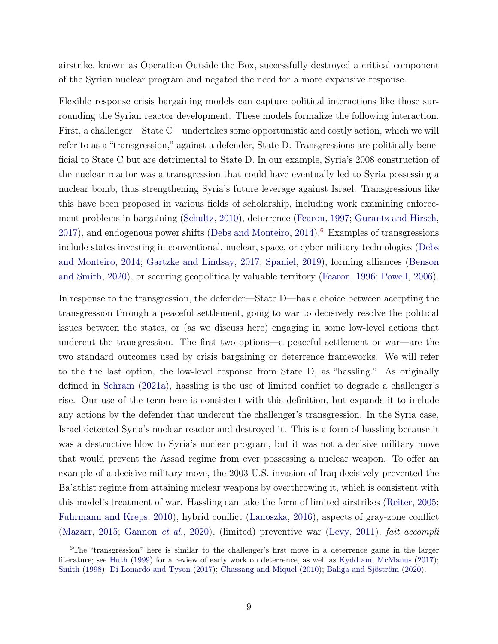airstrike, known as Operation Outside the Box, successfully destroyed a critical component of the Syrian nuclear program and negated the need for a more expansive response.

Flexible response crisis bargaining models can capture political interactions like those surrounding the Syrian reactor development. These models formalize the following interaction. First, a challenger—State C—undertakes some opportunistic and costly action, which we will refer to as a "transgression," against a defender, State D. Transgressions are politically beneficial to State C but are detrimental to State D. In our example, Syria's 2008 construction of the nuclear reactor was a transgression that could have eventually led to Syria possessing a nuclear bomb, thus strengthening Syria's future leverage against Israel. Transgressions like this have been proposed in various fields of scholarship, including work examining enforcement problems in bargaining [\(Schultz,](#page-38-4) [2010\)](#page-38-4), deterrence [\(Fearon,](#page-34-8) [1997;](#page-34-8) [Gurantz and Hirsch,](#page-35-0)  $2017$ ), and endogenous power shifts [\(Debs and Monteiro,](#page-34-5)  $2014$ ).<sup>[6](#page-8-0)</sup> Examples of transgressions include states investing in conventional, nuclear, space, or cyber military technologies [\(Debs](#page-34-5) [and Monteiro,](#page-34-5) [2014;](#page-34-5) [Gartzke and Lindsay,](#page-35-9) [2017;](#page-35-9) [Spaniel,](#page-38-7) [2019\)](#page-38-7), forming alliances [\(Benson](#page-32-9) [and Smith,](#page-32-9) [2020\)](#page-32-9), or securing geopolitically valuable territory [\(Fearon,](#page-34-9) [1996;](#page-34-9) [Powell,](#page-37-11) [2006\)](#page-37-11).

In response to the transgression, the defender—State D—has a choice between accepting the transgression through a peaceful settlement, going to war to decisively resolve the political issues between the states, or (as we discuss here) engaging in some low-level actions that undercut the transgression. The first two options—a peaceful settlement or war—are the two standard outcomes used by crisis bargaining or deterrence frameworks. We will refer to the the last option, the low-level response from State D, as "hassling." As originally defined in [Schram](#page-37-5) [\(2021a\)](#page-37-5), hassling is the use of limited conflict to degrade a challenger's rise. Our use of the term here is consistent with this definition, but expands it to include any actions by the defender that undercut the challenger's transgression. In the Syria case, Israel detected Syria's nuclear reactor and destroyed it. This is a form of hassling because it was a destructive blow to Syria's nuclear program, but it was not a decisive military move that would prevent the Assad regime from ever possessing a nuclear weapon. To offer an example of a decisive military move, the 2003 U.S. invasion of Iraq decisively prevented the Ba'athist regime from attaining nuclear weapons by overthrowing it, which is consistent with this model's treatment of war. Hassling can take the form of limited airstrikes [\(Reiter,](#page-37-12) [2005;](#page-37-12) [Fuhrmann and Kreps,](#page-34-10) [2010\)](#page-34-10), hybrid conflict [\(Lanoszka,](#page-35-3) [2016\)](#page-35-3), aspects of gray-zone conflict [\(Mazarr,](#page-36-3) [2015;](#page-36-3) [Gannon](#page-34-4) et al., [2020\)](#page-34-4), (limited) preventive war [\(Levy,](#page-35-10) [2011\)](#page-35-10), fait accompli

<span id="page-8-0"></span> ${}^{6}$ The "transgression" here is similar to the challenger's first move in a deterrence game in the larger literature; see [Huth](#page-35-11) [\(1999\)](#page-35-11) for a review of early work on deterrence, as well as [Kydd and McManus](#page-35-12) [\(2017\)](#page-35-12); [Smith](#page-38-8) [\(1998\)](#page-38-8); [Di Lonardo and Tyson](#page-34-11) [\(2017\)](#page-34-11); [Chassang and Miquel](#page-33-10) [\(2010\)](#page-33-10); [Baliga and Sjöström](#page-32-10) [\(2020\)](#page-32-10).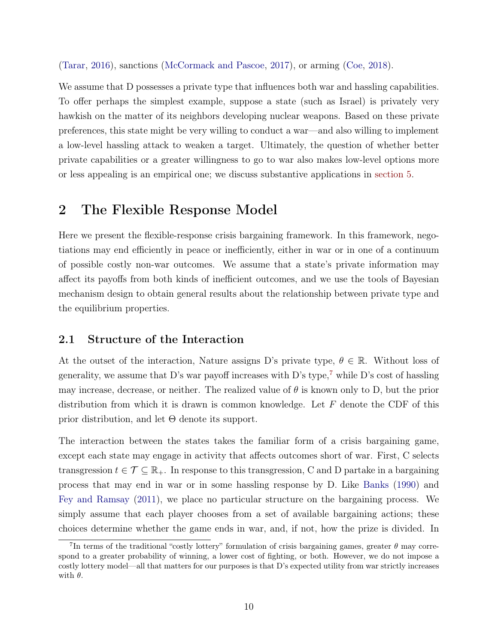[\(Tarar,](#page-38-9) [2016\)](#page-38-9), sanctions [\(McCormack and Pascoe,](#page-36-2) [2017\)](#page-36-2), or arming [\(Coe,](#page-33-8) [2018\)](#page-33-8).

We assume that D possesses a private type that influences both war and hassling capabilities. To offer perhaps the simplest example, suppose a state (such as Israel) is privately very hawkish on the matter of its neighbors developing nuclear weapons. Based on these private preferences, this state might be very willing to conduct a war—and also willing to implement a low-level hassling attack to weaken a target. Ultimately, the question of whether better private capabilities or a greater willingness to go to war also makes low-level options more or less appealing is an empirical one; we discuss substantive applications in [section 5.](#page-20-0)

## 2 The Flexible Response Model

Here we present the flexible-response crisis bargaining framework. In this framework, negotiations may end efficiently in peace or inefficiently, either in war or in one of a continuum of possible costly non-war outcomes. We assume that a state's private information may affect its payoffs from both kinds of inefficient outcomes, and we use the tools of Bayesian mechanism design to obtain general results about the relationship between private type and the equilibrium properties.

#### <span id="page-9-1"></span>2.1 Structure of the Interaction

At the outset of the interaction, Nature assigns D's private type,  $\theta \in \mathbb{R}$ . Without loss of generality, we assume that D's war payoff increases with D's type,<sup>[7](#page-9-0)</sup> while D's cost of hassling may increase, decrease, or neither. The realized value of  $\theta$  is known only to D, but the prior distribution from which it is drawn is common knowledge. Let  $F$  denote the CDF of this prior distribution, and let  $\Theta$  denote its support.

The interaction between the states takes the familiar form of a crisis bargaining game, except each state may engage in activity that affects outcomes short of war. First, C selects transgression  $t \in \mathcal{T} \subseteq \mathbb{R}_+$ . In response to this transgression, C and D partake in a bargaining process that may end in war or in some hassling response by D. Like [Banks](#page-32-0) [\(1990\)](#page-32-0) and [Fey and Ramsay](#page-34-3) [\(2011\)](#page-34-3), we place no particular structure on the bargaining process. We simply assume that each player chooses from a set of available bargaining actions; these choices determine whether the game ends in war, and, if not, how the prize is divided. In

<span id="page-9-0"></span><sup>&</sup>lt;sup>7</sup>In terms of the traditional "costly lottery" formulation of crisis bargaining games, greater  $\theta$  may correspond to a greater probability of winning, a lower cost of fighting, or both. However, we do not impose a costly lottery model—all that matters for our purposes is that D's expected utility from war strictly increases with  $\theta$ .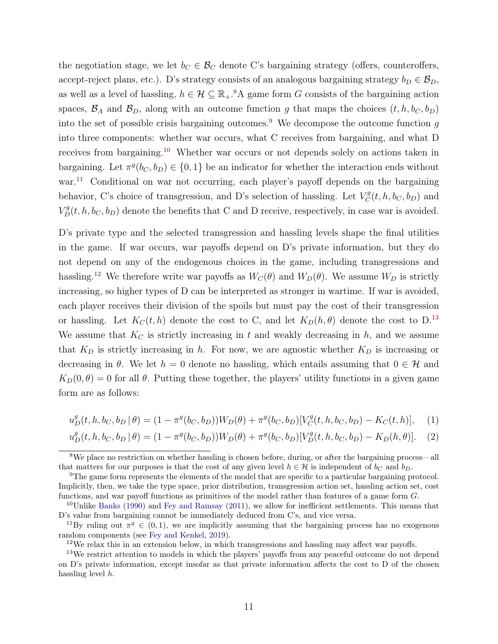the negotiation stage, we let  $b_C \in \mathcal{B}_C$  denote C's bargaining strategy (offers, counteroffers, accept-reject plans, etc.). D's strategy consists of an analogous bargaining strategy  $b_D \in \mathcal{B}_D$ , as well as a level of hassling,  $h \in \mathcal{H} \subseteq \mathbb{R}_+$ .<sup>[8](#page-10-0)</sup>A game form G consists of the bargaining action spaces,  $\mathcal{B}_A$  and  $\mathcal{B}_D$ , along with an outcome function g that maps the choices  $(t, h, b_C, b_D)$ into the set of possible crisis bargaining outcomes.<sup>[9](#page-10-1)</sup> We decompose the outcome function  $q$ into three components: whether war occurs, what C receives from bargaining, and what D receives from bargaining.<sup>[10](#page-10-2)</sup> Whether war occurs or not depends solely on actions taken in bargaining. Let  $\pi^g(b_C, b_D) \in \{0, 1\}$  be an indicator for whether the interaction ends without war.<sup>[11](#page-10-3)</sup> Conditional on war not occurring, each player's payoff depends on the bargaining behavior, C's choice of transgression, and D's selection of hassling. Let  $V_C^g$  $C^g(t, h, b_C, b_D)$  and  $V_D^g(t, h, b_C, b_D)$  denote the benefits that C and D receive, respectively, in case war is avoided.

D's private type and the selected transgression and hassling levels shape the final utilities in the game. If war occurs, war payoffs depend on D's private information, but they do not depend on any of the endogenous choices in the game, including transgressions and hassling.<sup>[12](#page-10-4)</sup> We therefore write war payoffs as  $W_C(\theta)$  and  $W_D(\theta)$ . We assume  $W_D$  is strictly increasing, so higher types of D can be interpreted as stronger in wartime. If war is avoided, each player receives their division of the spoils but must pay the cost of their transgression or hassling. Let  $K_C(t, h)$  denote the cost to C, and let  $K_D(h, \theta)$  denote the cost to D.<sup>[13](#page-10-5)</sup> We assume that  $K_C$  is strictly increasing in t and weakly decreasing in h, and we assume that  $K_D$  is strictly increasing in h. For now, we are agnostic whether  $K_D$  is increasing or decreasing in  $\theta$ . We let  $h = 0$  denote no hassling, which entails assuming that  $0 \in \mathcal{H}$  and  $K_D(0, \theta) = 0$  for all  $\theta$ . Putting these together, the players' utility functions in a given game form are as follows:

$$
u_D^g(t, h, b_C, b_D | \theta) = (1 - \pi^g(b_C, b_D))W_D(\theta) + \pi^g(b_C, b_D)[V_C^g(t, h, b_C, b_D) - K_C(t, h)], \quad (1)
$$

<span id="page-10-6"></span>
$$
u_D^g(t, h, b_C, b_D | \theta) = (1 - \pi^g(b_C, b_D))W_D(\theta) + \pi^g(b_C, b_D)[V_D^g(t, h, b_C, b_D) - K_D(h, \theta)].
$$
 (2)

<span id="page-10-0"></span><sup>&</sup>lt;sup>8</sup>We place no restriction on whether hassling is chosen before, during, or after the bargaining process—all that matters for our purposes is that the cost of any given level  $h \in \mathcal{H}$  is independent of  $b_C$  and  $b_D$ .

<span id="page-10-1"></span><sup>&</sup>lt;sup>9</sup>The game form represents the elements of the model that are specific to a particular bargaining protocol. Implicitly, then, we take the type space, prior distribution, transgression action set, hassling action set, cost functions, and war payoff functions as primitives of the model rather than features of a game form G.

<span id="page-10-2"></span> $10$ Unlike [Banks](#page-32-0) [\(1990\)](#page-32-0) and [Fey and Ramsay](#page-34-3) [\(2011\)](#page-34-3), we allow for inefficient settlements. This means that D's value from bargaining cannot be immediately deduced from C's, and vice versa.

<span id="page-10-3"></span><sup>&</sup>lt;sup>11</sup>By ruling out  $\pi^g \in (0,1)$ , we are implicitly assuming that the bargaining process has no exogenous random components (see [Fey and Kenkel,](#page-34-7) [2019\)](#page-34-7).

<span id="page-10-5"></span><span id="page-10-4"></span> $12\text{We relax this in an extension below, in which transgression and hashing may affect war payoffs.}$ 

<sup>&</sup>lt;sup>13</sup>We restrict attention to models in which the players' payoffs from any peaceful outcome do not depend on D's private information, except insofar as that private information affects the cost to D of the chosen hassling level h.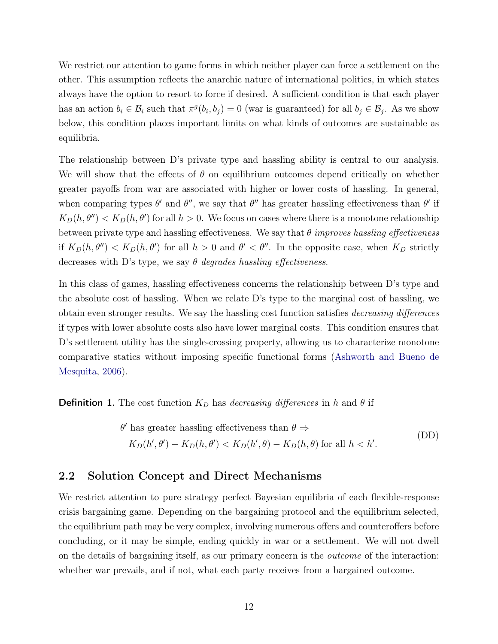We restrict our attention to game forms in which neither player can force a settlement on the other. This assumption reflects the anarchic nature of international politics, in which states always have the option to resort to force if desired. A sufficient condition is that each player has an action  $b_i \in \mathcal{B}_i$  such that  $\pi^g(b_i, b_j) = 0$  (war is guaranteed) for all  $b_j \in \mathcal{B}_j$ . As we show below, this condition places important limits on what kinds of outcomes are sustainable as equilibria.

The relationship between D's private type and hassling ability is central to our analysis. We will show that the effects of  $\theta$  on equilibrium outcomes depend critically on whether greater payoffs from war are associated with higher or lower costs of hassling. In general, when comparing types  $\theta'$  and  $\theta''$ , we say that  $\theta''$  has greater hassling effectiveness than  $\theta'$  if  $K_D(h, \theta'') < K_D(h, \theta')$  for all  $h > 0$ . We focus on cases where there is a monotone relationship between private type and hassling effectiveness. We say that  $\theta$  improves hassling effectiveness if  $K_D(h, \theta'') < K_D(h, \theta')$  for all  $h > 0$  and  $\theta' < \theta''$ . In the opposite case, when  $K_D$  strictly decreases with D's type, we say  $\theta$  degrades hassling effectiveness.

In this class of games, hassling effectiveness concerns the relationship between D's type and the absolute cost of hassling. When we relate D's type to the marginal cost of hassling, we obtain even stronger results. We say the hassling cost function satisfies decreasing differences if types with lower absolute costs also have lower marginal costs. This condition ensures that D's settlement utility has the single-crossing property, allowing us to characterize monotone comparative statics without imposing specific functional forms [\(Ashworth and Bueno de](#page-32-11) [Mesquita,](#page-32-11) [2006\)](#page-32-11).

**Definition 1.** The cost function  $K<sub>D</sub>$  has decreasing differences in h and  $\theta$  if

<span id="page-11-0"></span>
$$
\theta' \text{ has greater hassling effectiveness than } \theta \Rightarrow
$$
  
\n
$$
K_D(h', \theta') - K_D(h, \theta') < K_D(h', \theta) - K_D(h, \theta) \text{ for all } h < h'.
$$
\n(DD)

#### 2.2 Solution Concept and Direct Mechanisms

We restrict attention to pure strategy perfect Bayesian equilibria of each flexible-response crisis bargaining game. Depending on the bargaining protocol and the equilibrium selected, the equilibrium path may be very complex, involving numerous offers and counteroffers before concluding, or it may be simple, ending quickly in war or a settlement. We will not dwell on the details of bargaining itself, as our primary concern is the outcome of the interaction: whether war prevails, and if not, what each party receives from a bargained outcome.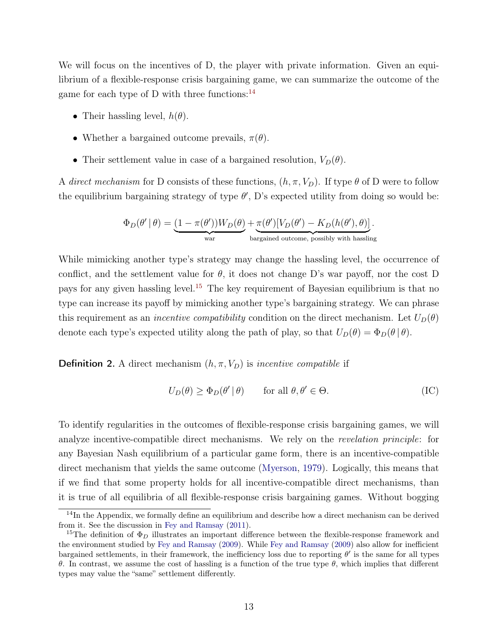We will focus on the incentives of D, the player with private information. Given an equilibrium of a flexible-response crisis bargaining game, we can summarize the outcome of the game for each type of D with three functions: $^{14}$  $^{14}$  $^{14}$ 

- Their hassling level,  $h(\theta)$ .
- Whether a bargained outcome prevails,  $\pi(\theta)$ .
- Their settlement value in case of a bargained resolution,  $V_D(\theta)$ .

A direct mechanism for D consists of these functions,  $(h, \pi, V_D)$ . If type  $\theta$  of D were to follow the equilibrium bargaining strategy of type  $\theta'$ , D's expected utility from doing so would be:

$$
\Phi_D(\theta' \mid \theta) = \underbrace{(1 - \pi(\theta'))W_D(\theta)}_{\text{war}} + \underbrace{\pi(\theta')[V_D(\theta') - K_D(h(\theta'), \theta)]}_{\text{bargained outcome, possibly with hashing}}.
$$

While mimicking another type's strategy may change the hassling level, the occurrence of conflict, and the settlement value for  $\theta$ , it does not change D's war payoff, nor the cost D pays for any given has ling level.<sup>[15](#page-12-1)</sup> The key requirement of Bayesian equilibrium is that no type can increase its payoff by mimicking another type's bargaining strategy. We can phrase this requirement as an *incentive compatibility* condition on the direct mechanism. Let  $U_D(\theta)$ denote each type's expected utility along the path of play, so that  $U_D(\theta) = \Phi_D(\theta | \theta)$ .

**Definition 2.** A direct mechanism  $(h, \pi, V_D)$  is *incentive compatible* if

<span id="page-12-2"></span>
$$
U_D(\theta) \ge \Phi_D(\theta' \mid \theta) \qquad \text{for all } \theta, \theta' \in \Theta. \tag{IC}
$$

To identify regularities in the outcomes of flexible-response crisis bargaining games, we will analyze incentive-compatible direct mechanisms. We rely on the revelation principle: for any Bayesian Nash equilibrium of a particular game form, there is an incentive-compatible direct mechanism that yields the same outcome [\(Myerson,](#page-36-10) [1979\)](#page-36-10). Logically, this means that if we find that some property holds for all incentive-compatible direct mechanisms, than it is true of all equilibria of all flexible-response crisis bargaining games. Without bogging

<span id="page-12-0"></span><sup>&</sup>lt;sup>14</sup>In the Appendix, we formally define an equilibrium and describe how a direct mechanism can be derived from it. See the discussion in [Fey and Ramsay](#page-34-3) [\(2011\)](#page-34-3).

<span id="page-12-1"></span><sup>&</sup>lt;sup>15</sup>The definition of  $\Phi_D$  illustrates an important difference between the flexible-response framework and the environment studied by [Fey and Ramsay](#page-34-6) [\(2009\)](#page-34-6). While [Fey and Ramsay](#page-34-6) [\(2009\)](#page-34-6) also allow for inefficient bargained settlements, in their framework, the inefficiency loss due to reporting  $\theta'$  is the same for all types θ. In contrast, we assume the cost of hassling is a function of the true type θ, which implies that different types may value the "same" settlement differently.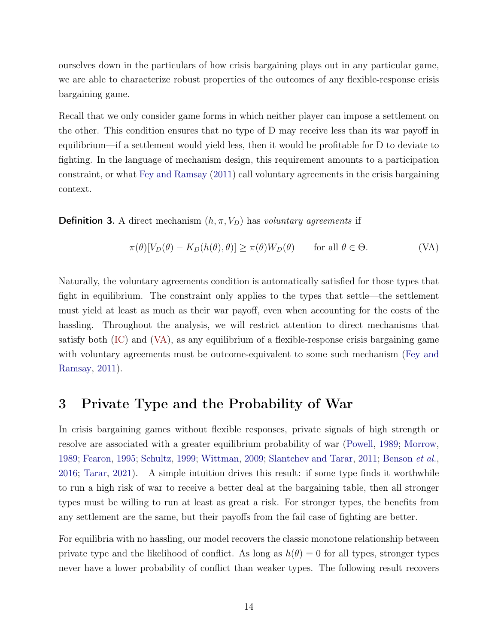ourselves down in the particulars of how crisis bargaining plays out in any particular game, we are able to characterize robust properties of the outcomes of any flexible-response crisis bargaining game.

Recall that we only consider game forms in which neither player can impose a settlement on the other. This condition ensures that no type of D may receive less than its war payoff in equilibrium—if a settlement would yield less, then it would be profitable for D to deviate to fighting. In the language of mechanism design, this requirement amounts to a participation constraint, or what [Fey and Ramsay](#page-34-3) [\(2011\)](#page-34-3) call voluntary agreements in the crisis bargaining context.

**Definition 3.** A direct mechanism  $(h, \pi, V_D)$  has voluntary agreements if

<span id="page-13-0"></span>
$$
\pi(\theta)[V_D(\theta) - K_D(h(\theta), \theta)] \ge \pi(\theta)W_D(\theta) \quad \text{for all } \theta \in \Theta.
$$
 (VA)

Naturally, the voluntary agreements condition is automatically satisfied for those types that fight in equilibrium. The constraint only applies to the types that settle—the settlement must yield at least as much as their war payoff, even when accounting for the costs of the hassling. Throughout the analysis, we will restrict attention to direct mechanisms that satisfy both [\(IC\)](#page-12-2) and [\(VA\)](#page-13-0), as any equilibrium of a flexible-response crisis bargaining game with voluntary agreements must be outcome-equivalent to some such mechanism [\(Fey and](#page-34-3) [Ramsay,](#page-34-3) [2011\)](#page-34-3).

## <span id="page-13-1"></span>3 Private Type and the Probability of War

In crisis bargaining games without flexible responses, private signals of high strength or resolve are associated with a greater equilibrium probability of war [\(Powell,](#page-37-3) [1989;](#page-37-3) [Morrow,](#page-36-1) [1989;](#page-36-1) [Fearon,](#page-34-1) [1995;](#page-34-1) [Schultz,](#page-37-1) [1999;](#page-37-1) [Wittman,](#page-39-1) [2009;](#page-39-1) [Slantchev and Tarar,](#page-38-10) [2011;](#page-38-10) [Benson](#page-33-2) et al., [2016;](#page-33-2) [Tarar,](#page-39-4) [2021\)](#page-39-4). A simple intuition drives this result: if some type finds it worthwhile to run a high risk of war to receive a better deal at the bargaining table, then all stronger types must be willing to run at least as great a risk. For stronger types, the benefits from any settlement are the same, but their payoffs from the fail case of fighting are better.

For equilibria with no hassling, our model recovers the classic monotone relationship between private type and the likelihood of conflict. As long as  $h(\theta) = 0$  for all types, stronger types never have a lower probability of conflict than weaker types. The following result recovers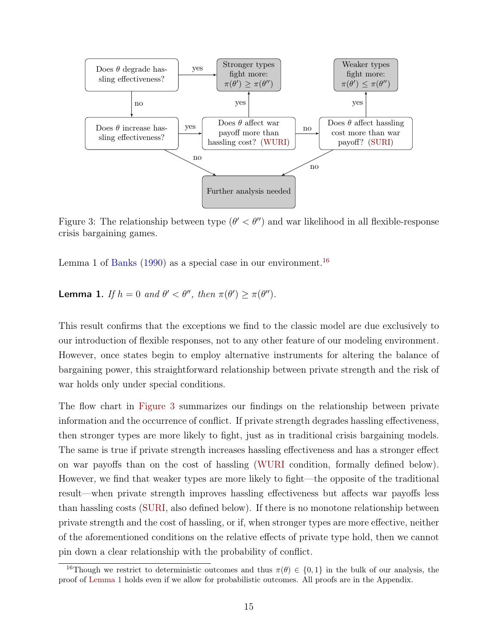<span id="page-14-1"></span>

Figure 3: The relationship between type  $(\theta' < \theta'')$  and war likelihood in all flexible-response crisis bargaining games.

Lemma 1 of [Banks](#page-32-0) [\(1990\)](#page-32-0) as a special case in our environment.<sup>[16](#page-14-0)</sup>

<span id="page-14-2"></span>**Lemma 1.** If  $h = 0$  and  $\theta' < \theta''$ , then  $\pi(\theta') \geq \pi(\theta'')$ .

This result confirms that the exceptions we find to the classic model are due exclusively to our introduction of flexible responses, not to any other feature of our modeling environment. However, once states begin to employ alternative instruments for altering the balance of bargaining power, this straightforward relationship between private strength and the risk of war holds only under special conditions.

The flow chart in [Figure 3](#page-14-1) summarizes our findings on the relationship between private information and the occurrence of conflict. If private strength degrades hassling effectiveness, then stronger types are more likely to fight, just as in traditional crisis bargaining models. The same is true if private strength increases hassling effectiveness and has a stronger effect on war payoffs than on the cost of hassling [\(WURI](#page-15-0) condition, formally defined below). However, we find that weaker types are more likely to fight—the opposite of the traditional result—when private strength improves hassling effectiveness but affects war payoffs less than hassling costs [\(SURI,](#page-16-0) also defined below). If there is no monotone relationship between private strength and the cost of hassling, or if, when stronger types are more effective, neither of the aforementioned conditions on the relative effects of private type hold, then we cannot pin down a clear relationship with the probability of conflict.

<span id="page-14-0"></span><sup>&</sup>lt;sup>16</sup>Though we restrict to deterministic outcomes and thus  $\pi(\theta) \in \{0,1\}$  in the bulk of our analysis, the proof of [Lemma 1](#page-14-2) holds even if we allow for probabilistic outcomes. All proofs are in the Appendix.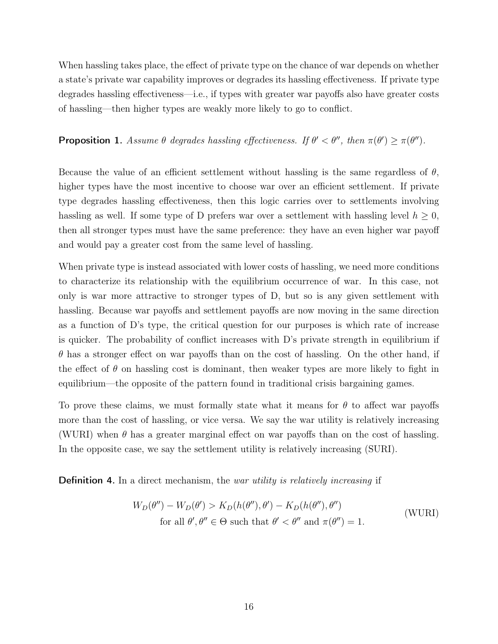When hassling takes place, the effect of private type on the chance of war depends on whether a state's private war capability improves or degrades its hassling effectiveness. If private type degrades hassling effectiveness—i.e., if types with greater war payoffs also have greater costs of hassling—then higher types are weakly more likely to go to conflict.

#### <span id="page-15-1"></span>**Proposition 1.** Assume  $\theta$  degrades hassling effectiveness. If  $\theta' < \theta''$ , then  $\pi(\theta') \geq \pi(\theta'')$ .

Because the value of an efficient settlement without hassling is the same regardless of  $\theta$ , higher types have the most incentive to choose war over an efficient settlement. If private type degrades hassling effectiveness, then this logic carries over to settlements involving hassling as well. If some type of D prefers war over a settlement with hassling level  $h \geq 0$ , then all stronger types must have the same preference: they have an even higher war payoff and would pay a greater cost from the same level of hassling.

When private type is instead associated with lower costs of hassling, we need more conditions to characterize its relationship with the equilibrium occurrence of war. In this case, not only is war more attractive to stronger types of D, but so is any given settlement with hassling. Because war payoffs and settlement payoffs are now moving in the same direction as a function of D's type, the critical question for our purposes is which rate of increase is quicker. The probability of conflict increases with D's private strength in equilibrium if  $\theta$  has a stronger effect on war payoffs than on the cost of hassling. On the other hand, if the effect of  $\theta$  on hassling cost is dominant, then weaker types are more likely to fight in equilibrium—the opposite of the pattern found in traditional crisis bargaining games.

To prove these claims, we must formally state what it means for  $\theta$  to affect war payoffs more than the cost of hassling, or vice versa. We say the war utility is relatively increasing (WURI) when  $\theta$  has a greater marginal effect on war payoffs than on the cost of hassling. In the opposite case, we say the settlement utility is relatively increasing (SURI).

Definition 4. In a direct mechanism, the war utility is relatively increasing if

<span id="page-15-0"></span>
$$
W_D(\theta'') - W_D(\theta') > K_D(h(\theta''), \theta') - K_D(h(\theta''), \theta'')
$$
  
for all  $\theta', \theta'' \in \Theta$  such that  $\theta' < \theta''$  and  $\pi(\theta'') = 1$ . (WURI)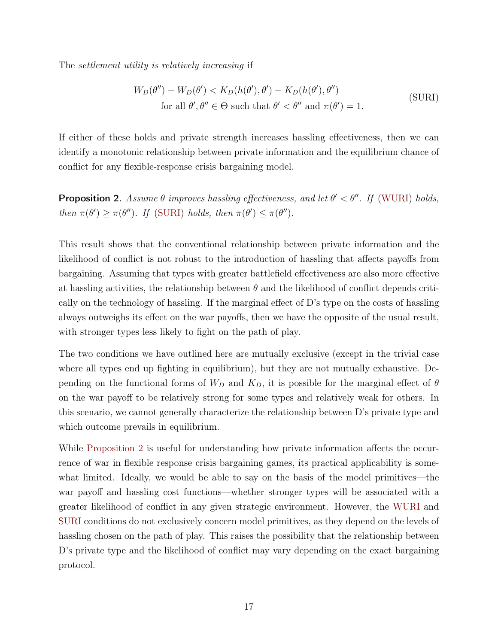The settlement utility is relatively increasing if

<span id="page-16-0"></span>
$$
W_D(\theta'') - W_D(\theta') < K_D(h(\theta'), \theta') - K_D(h(\theta'), \theta'')
$$
\n
$$
\text{for all } \theta', \theta'' \in \Theta \text{ such that } \theta' < \theta'' \text{ and } \pi(\theta') = 1.
$$
\n(SURI)

If either of these holds and private strength increases hassling effectiveness, then we can identify a monotonic relationship between private information and the equilibrium chance of conflict for any flexible-response crisis bargaining model.

<span id="page-16-1"></span>**Proposition 2.** Assume  $\theta$  improves hassling effectiveness, and let  $\theta' < \theta''$ . If [\(WURI\)](#page-15-0) holds, then  $\pi(\theta') \geq \pi(\theta'')$ . If [\(SURI\)](#page-16-0) holds, then  $\pi(\theta') \leq \pi(\theta'')$ .

This result shows that the conventional relationship between private information and the likelihood of conflict is not robust to the introduction of hassling that affects payoffs from bargaining. Assuming that types with greater battlefield effectiveness are also more effective at hassling activities, the relationship between  $\theta$  and the likelihood of conflict depends critically on the technology of hassling. If the marginal effect of D's type on the costs of hassling always outweighs its effect on the war payoffs, then we have the opposite of the usual result, with stronger types less likely to fight on the path of play.

The two conditions we have outlined here are mutually exclusive (except in the trivial case where all types end up fighting in equilibrium), but they are not mutually exhaustive. Depending on the functional forms of  $W_D$  and  $K_D$ , it is possible for the marginal effect of  $\theta$ on the war payoff to be relatively strong for some types and relatively weak for others. In this scenario, we cannot generally characterize the relationship between D's private type and which outcome prevails in equilibrium.

While [Proposition 2](#page-16-1) is useful for understanding how private information affects the occurrence of war in flexible response crisis bargaining games, its practical applicability is somewhat limited. Ideally, we would be able to say on the basis of the model primitives—the war payoff and hassling cost functions—whether stronger types will be associated with a greater likelihood of conflict in any given strategic environment. However, the [WURI](#page-15-0) and [SURI](#page-16-0) conditions do not exclusively concern model primitives, as they depend on the levels of hassling chosen on the path of play. This raises the possibility that the relationship between D's private type and the likelihood of conflict may vary depending on the exact bargaining protocol.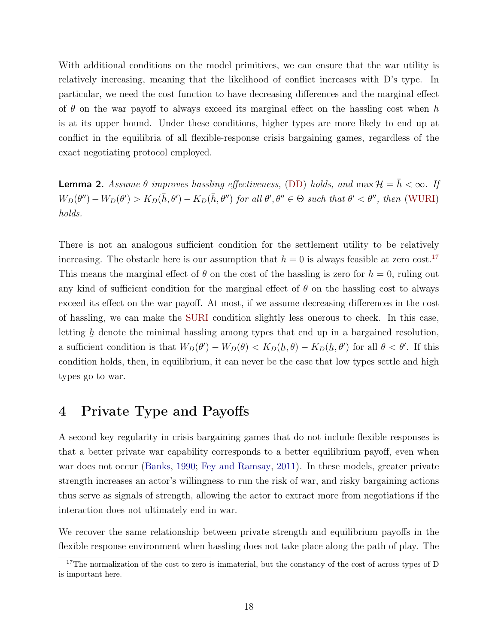With additional conditions on the model primitives, we can ensure that the war utility is relatively increasing, meaning that the likelihood of conflict increases with D's type. In particular, we need the cost function to have decreasing differences and the marginal effect of  $\theta$  on the war payoff to always exceed its marginal effect on the hassling cost when h is at its upper bound. Under these conditions, higher types are more likely to end up at conflict in the equilibria of all flexible-response crisis bargaining games, regardless of the exact negotiating protocol employed.

**Lemma 2.** Assume  $\theta$  improves hassling effectiveness, [\(DD\)](#page-11-0) holds, and  $\max \mathcal{H} = \bar{h} < \infty$ . If  $W_D(\theta'') - W_D(\theta') > K_D(\bar{h}, \theta') - K_D(\bar{h}, \theta'')$  for all  $\theta', \theta'' \in \Theta$  such that  $\theta' < \theta''$ , then [\(WURI\)](#page-15-0) holds.

There is not an analogous sufficient condition for the settlement utility to be relatively increasing. The obstacle here is our assumption that  $h = 0$  is always feasible at zero cost.<sup>[17](#page-17-0)</sup> This means the marginal effect of  $\theta$  on the cost of the hassling is zero for  $h = 0$ , ruling out any kind of sufficient condition for the marginal effect of  $\theta$  on the hassling cost to always exceed its effect on the war payoff. At most, if we assume decreasing differences in the cost of hassling, we can make the [SURI](#page-16-0) condition slightly less onerous to check. In this case, letting  $\underline{h}$  denote the minimal hassling among types that end up in a bargained resolution, '∸<br>ً a sufficient condition is that  $W_D(\theta') - W_D(\theta) < K_D(\underline{h}, \theta) - K_D(\underline{h})$  $\underline{h}, \theta'$  for all  $\theta < \theta'$ . If this condition holds, then, in equilibrium, it can never be the case that low types settle and high types go to war.

## <span id="page-17-1"></span>4 Private Type and Payoffs

A second key regularity in crisis bargaining games that do not include flexible responses is that a better private war capability corresponds to a better equilibrium payoff, even when war does not occur [\(Banks,](#page-32-0) [1990;](#page-32-0) [Fey and Ramsay,](#page-34-3) [2011\)](#page-34-3). In these models, greater private strength increases an actor's willingness to run the risk of war, and risky bargaining actions thus serve as signals of strength, allowing the actor to extract more from negotiations if the interaction does not ultimately end in war.

We recover the same relationship between private strength and equilibrium payoffs in the flexible response environment when hassling does not take place along the path of play. The

<span id="page-17-0"></span><sup>&</sup>lt;sup>17</sup>The normalization of the cost to zero is immaterial, but the constancy of the cost of across types of D is important here.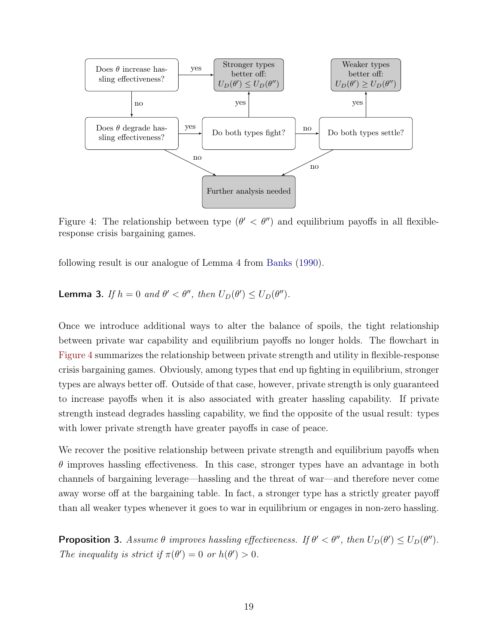<span id="page-18-0"></span>

Figure 4: The relationship between type  $(\theta' < \theta'')$  and equilibrium payoffs in all flexibleresponse crisis bargaining games.

following result is our analogue of Lemma 4 from [Banks](#page-32-0) [\(1990\)](#page-32-0).

**Lemma 3.** If  $h = 0$  and  $\theta' < \theta''$ , then  $U_D(\theta') \le U_D(\theta'')$ .

Once we introduce additional ways to alter the balance of spoils, the tight relationship between private war capability and equilibrium payoffs no longer holds. The flowchart in [Figure 4](#page-18-0) summarizes the relationship between private strength and utility in flexible-response crisis bargaining games. Obviously, among types that end up fighting in equilibrium, stronger types are always better off. Outside of that case, however, private strength is only guaranteed to increase payoffs when it is also associated with greater hassling capability. If private strength instead degrades hassling capability, we find the opposite of the usual result: types with lower private strength have greater payoffs in case of peace.

We recover the positive relationship between private strength and equilibrium payoffs when  $\theta$  improves hassling effectiveness. In this case, stronger types have an advantage in both channels of bargaining leverage—hassling and the threat of war—and therefore never come away worse off at the bargaining table. In fact, a stronger type has a strictly greater payoff than all weaker types whenever it goes to war in equilibrium or engages in non-zero hassling.

<span id="page-18-1"></span>**Proposition 3.** Assume  $\theta$  improves hassling effectiveness. If  $\theta' < \theta''$ , then  $U_D(\theta') \le U_D(\theta'')$ . The inequality is strict if  $\pi(\theta') = 0$  or  $h(\theta') > 0$ .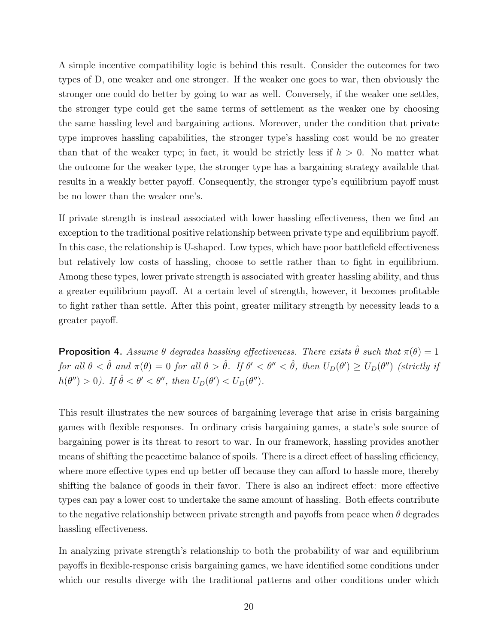A simple incentive compatibility logic is behind this result. Consider the outcomes for two types of D, one weaker and one stronger. If the weaker one goes to war, then obviously the stronger one could do better by going to war as well. Conversely, if the weaker one settles, the stronger type could get the same terms of settlement as the weaker one by choosing the same hassling level and bargaining actions. Moreover, under the condition that private type improves hassling capabilities, the stronger type's hassling cost would be no greater than that of the weaker type; in fact, it would be strictly less if  $h > 0$ . No matter what the outcome for the weaker type, the stronger type has a bargaining strategy available that results in a weakly better payoff. Consequently, the stronger type's equilibrium payoff must be no lower than the weaker one's.

If private strength is instead associated with lower hassling effectiveness, then we find an exception to the traditional positive relationship between private type and equilibrium payoff. In this case, the relationship is U-shaped. Low types, which have poor battlefield effectiveness but relatively low costs of hassling, choose to settle rather than to fight in equilibrium. Among these types, lower private strength is associated with greater hassling ability, and thus a greater equilibrium payoff. At a certain level of strength, however, it becomes profitable to fight rather than settle. After this point, greater military strength by necessity leads to a greater payoff.

<span id="page-19-0"></span>**Proposition 4.** Assume  $\theta$  degrades hassling effectiveness. There exists  $\hat{\theta}$  such that  $\pi(\theta) = 1$ for all  $\theta < \hat{\theta}$  and  $\pi(\theta) = 0$  for all  $\theta > \hat{\theta}$ . If  $\theta' < \theta'' < \hat{\theta}$ , then  $U_D(\theta') \ge U_D(\theta'')$  (strictly if  $h(\theta'') > 0$ ). If  $\hat{\theta} < \theta' < \theta''$ , then  $U_D(\theta') < U_D(\theta'')$ .

This result illustrates the new sources of bargaining leverage that arise in crisis bargaining games with flexible responses. In ordinary crisis bargaining games, a state's sole source of bargaining power is its threat to resort to war. In our framework, hassling provides another means of shifting the peacetime balance of spoils. There is a direct effect of hassling efficiency, where more effective types end up better off because they can afford to hassle more, thereby shifting the balance of goods in their favor. There is also an indirect effect: more effective types can pay a lower cost to undertake the same amount of hassling. Both effects contribute to the negative relationship between private strength and payoffs from peace when  $\theta$  degrades hassling effectiveness.

In analyzing private strength's relationship to both the probability of war and equilibrium payoffs in flexible-response crisis bargaining games, we have identified some conditions under which our results diverge with the traditional patterns and other conditions under which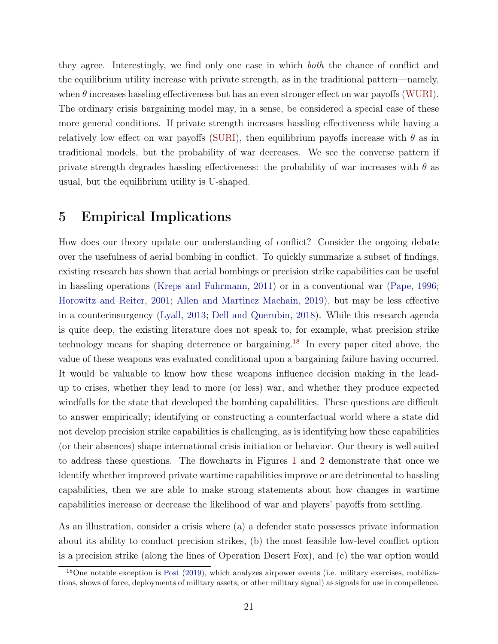they agree. Interestingly, we find only one case in which both the chance of conflict and the equilibrium utility increase with private strength, as in the traditional pattern—namely, when  $\theta$  increases hassling effectiveness but has an even stronger effect on war payoffs [\(WURI\)](#page-15-0). The ordinary crisis bargaining model may, in a sense, be considered a special case of these more general conditions. If private strength increases hassling effectiveness while having a relatively low effect on war payoffs [\(SURI\)](#page-16-0), then equilibrium payoffs increase with  $\theta$  as in traditional models, but the probability of war decreases. We see the converse pattern if private strength degrades hassling effectiveness: the probability of war increases with  $\theta$  as usual, but the equilibrium utility is U-shaped.

## <span id="page-20-0"></span>5 Empirical Implications

How does our theory update our understanding of conflict? Consider the ongoing debate over the usefulness of aerial bombing in conflict. To quickly summarize a subset of findings, existing research has shown that aerial bombings or precision strike capabilities can be useful in hassling operations [\(Kreps and Fuhrmann,](#page-35-6) [2011\)](#page-35-6) or in a conventional war [\(Pape,](#page-36-7) [1996;](#page-36-7) [Horowitz and Reiter,](#page-35-5) [2001;](#page-35-5) [Allen and Martinez Machain,](#page-32-5) [2019\)](#page-32-5), but may be less effective in a counterinsurgency [\(Lyall,](#page-36-11) [2013;](#page-36-11) [Dell and Querubin,](#page-34-12) [2018\)](#page-34-12). While this research agenda is quite deep, the existing literature does not speak to, for example, what precision strike technology means for shaping deterrence or bargaining.[18](#page-20-1) In every paper cited above, the value of these weapons was evaluated conditional upon a bargaining failure having occurred. It would be valuable to know how these weapons influence decision making in the leadup to crises, whether they lead to more (or less) war, and whether they produce expected windfalls for the state that developed the bombing capabilities. These questions are difficult to answer empirically; identifying or constructing a counterfactual world where a state did not develop precision strike capabilities is challenging, as is identifying how these capabilities (or their absences) shape international crisis initiation or behavior. Our theory is well suited to address these questions. The flowcharts in Figures [1](#page-4-0) and [2](#page-5-0) demonstrate that once we identify whether improved private wartime capabilities improve or are detrimental to hassling capabilities, then we are able to make strong statements about how changes in wartime capabilities increase or decrease the likelihood of war and players' payoffs from settling.

As an illustration, consider a crisis where (a) a defender state possesses private information about its ability to conduct precision strikes, (b) the most feasible low-level conflict option is a precision strike (along the lines of Operation Desert Fox), and (c) the war option would

<span id="page-20-1"></span> $18$ One notable exception is [Post](#page-37-8) [\(2019\)](#page-37-8), which analyzes airpower events (i.e. military exercises, mobilizations, shows of force, deployments of military assets, or other military signal) as signals for use in compellence.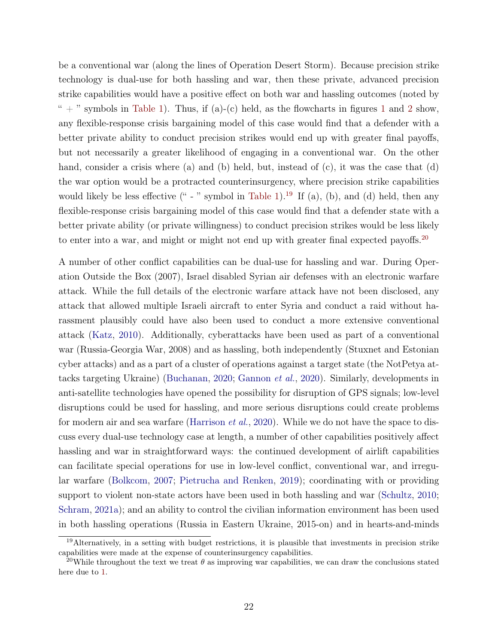be a conventional war (along the lines of Operation Desert Storm). Because precision strike technology is dual-use for both hassling and war, then these private, advanced precision strike capabilities would have a positive effect on both war and hassling outcomes (noted by " + " symbols in [Table 1\)](#page-23-0). Thus, if (a)-(c) held, as the flowcharts in figures [1](#page-4-0) and [2](#page-5-0) show, any flexible-response crisis bargaining model of this case would find that a defender with a better private ability to conduct precision strikes would end up with greater final payoffs, but not necessarily a greater likelihood of engaging in a conventional war. On the other hand, consider a crisis where (a) and (b) held, but, instead of  $(c)$ , it was the case that  $(d)$ the war option would be a protracted counterinsurgency, where precision strike capabilities would likely be less effective  $(4 - 7)$  symbol in [Table 1\)](#page-23-0).<sup>[19](#page-21-0)</sup> If (a), (b), and (d) held, then any flexible-response crisis bargaining model of this case would find that a defender state with a better private ability (or private willingness) to conduct precision strikes would be less likely to enter into a war, and might or might not end up with greater final expected payoffs.<sup>[20](#page-21-1)</sup>

A number of other conflict capabilities can be dual-use for hassling and war. During Operation Outside the Box (2007), Israel disabled Syrian air defenses with an electronic warfare attack. While the full details of the electronic warfare attack have not been disclosed, any attack that allowed multiple Israeli aircraft to enter Syria and conduct a raid without harassment plausibly could have also been used to conduct a more extensive conventional attack [\(Katz,](#page-35-8) [2010\)](#page-35-8). Additionally, cyberattacks have been used as part of a conventional war (Russia-Georgia War, 2008) and as hassling, both independently (Stuxnet and Estonian cyber attacks) and as a part of a cluster of operations against a target state (the NotPetya attacks targeting Ukraine) [\(Buchanan,](#page-33-11) [2020;](#page-33-11) [Gannon](#page-34-4) et al., [2020\)](#page-34-4). Similarly, developments in anti-satellite technologies have opened the possibility for disruption of GPS signals; low-level disruptions could be used for hassling, and more serious disruptions could create problems for modern air and sea warfare [\(Harrison](#page-35-13) *et al.*, [2020\)](#page-35-13). While we do not have the space to discuss every dual-use technology case at length, a number of other capabilities positively affect hassling and war in straightforward ways: the continued development of airlift capabilities can facilitate special operations for use in low-level conflict, conventional war, and irregular warfare [\(Bolkcom,](#page-33-12) [2007;](#page-33-12) [Pietrucha and Renken,](#page-37-13) [2019\)](#page-37-13); coordinating with or providing support to violent non-state actors have been used in both hassling and war [\(Schultz,](#page-38-4) [2010;](#page-38-4) [Schram,](#page-37-5) [2021a\)](#page-37-5); and an ability to control the civilian information environment has been used in both hassling operations (Russia in Eastern Ukraine, 2015-on) and in hearts-and-minds

<span id="page-21-0"></span><sup>19</sup>Alternatively, in a setting with budget restrictions, it is plausible that investments in precision strike capabilities were made at the expense of counterinsurgency capabilities.

<span id="page-21-1"></span><sup>&</sup>lt;sup>20</sup>While throughout the text we treat  $\theta$  as improving war capabilities, we can draw the conclusions stated here due to [1.](#page-15-1)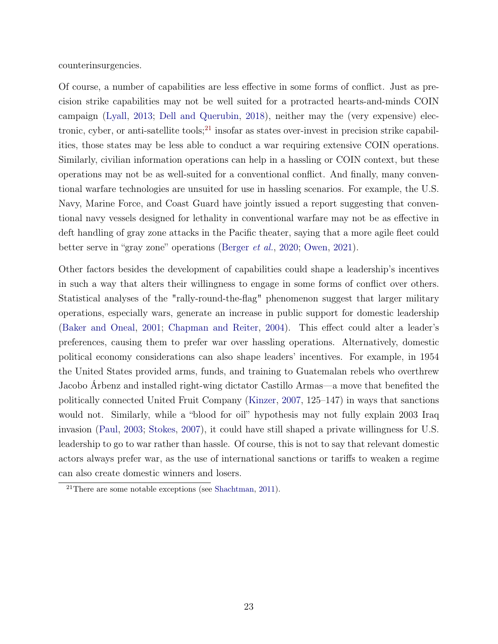counterinsurgencies.

Of course, a number of capabilities are less effective in some forms of conflict. Just as precision strike capabilities may not be well suited for a protracted hearts-and-minds COIN campaign [\(Lyall,](#page-36-11) [2013;](#page-36-11) [Dell and Querubin,](#page-34-12) [2018\)](#page-34-12), neither may the (very expensive) elec-tronic, cyber, or anti-satellite tools;<sup>[21](#page-22-0)</sup> insofar as states over-invest in precision strike capabilities, those states may be less able to conduct a war requiring extensive COIN operations. Similarly, civilian information operations can help in a hassling or COIN context, but these operations may not be as well-suited for a conventional conflict. And finally, many conventional warfare technologies are unsuited for use in hassling scenarios. For example, the U.S. Navy, Marine Force, and Coast Guard have jointly issued a report suggesting that conventional navy vessels designed for lethality in conventional warfare may not be as effective in deft handling of gray zone attacks in the Pacific theater, saying that a more agile fleet could better serve in "gray zone" operations [\(Berger](#page-33-13) et al., [2020;](#page-33-13) [Owen,](#page-36-12) [2021\)](#page-36-12).

Other factors besides the development of capabilities could shape a leadership's incentives in such a way that alters their willingness to engage in some forms of conflict over others. Statistical analyses of the "rally-round-the-flag" phenomenon suggest that larger military operations, especially wars, generate an increase in public support for domestic leadership [\(Baker and Oneal,](#page-32-3) [2001;](#page-32-3) [Chapman and Reiter,](#page-33-7) [2004\)](#page-33-7). This effect could alter a leader's preferences, causing them to prefer war over hassling operations. Alternatively, domestic political economy considerations can also shape leaders' incentives. For example, in 1954 the United States provided arms, funds, and training to Guatemalan rebels who overthrew Jacobo Árbenz and installed right-wing dictator Castillo Armas—a move that benefited the politically connected United Fruit Company [\(Kinzer,](#page-35-14) [2007,](#page-35-14) 125–147) in ways that sanctions would not. Similarly, while a "blood for oil" hypothesis may not fully explain 2003 Iraq invasion [\(Paul,](#page-36-13) [2003;](#page-36-13) [Stokes,](#page-38-11) [2007\)](#page-38-11), it could have still shaped a private willingness for U.S. leadership to go to war rather than hassle. Of course, this is not to say that relevant domestic actors always prefer war, as the use of international sanctions or tariffs to weaken a regime can also create domestic winners and losers.

<span id="page-22-0"></span><sup>21</sup>There are some notable exceptions (see [Shachtman,](#page-38-12) [2011\)](#page-38-12).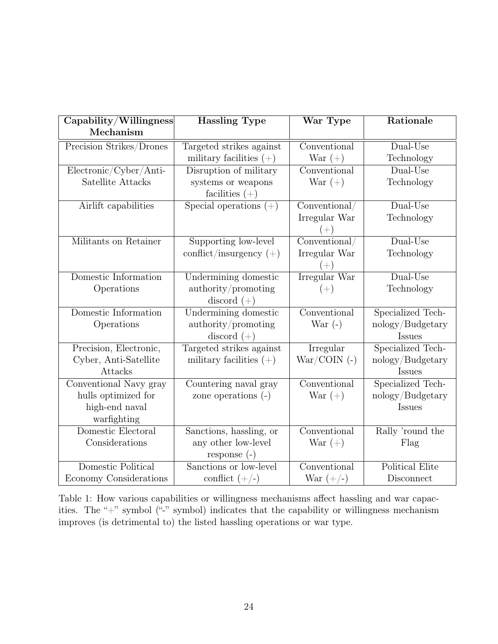<span id="page-23-0"></span>

| Capability/Willingness   | <b>Hassling Type</b>      | War Type              | Rationale         |
|--------------------------|---------------------------|-----------------------|-------------------|
| Mechanism                |                           |                       |                   |
| Precision Strikes/Drones | Targeted strikes against  | Conventional          | $Dual-Use$        |
|                          | military facilities $(+)$ | War $(+)$             | Technology        |
| Electronic/Cyber/Anti-   | Disruption of military    | Conventional          | Dual-Use          |
| Satellite Attacks        | systems or weapons        | War $(+)$             | Technology        |
|                          | facilities $(+)$          |                       |                   |
| Airlift capabilities     | Special operations $(+)$  | Conventional/         | $Dual-Use$        |
|                          |                           | Irregular War         | Technology        |
|                          |                           | $(+)$                 |                   |
| Militants on Retainer    | Supporting low-level      | Conventional/         | $Dual-Use$        |
|                          | conflict/insurgency $(+)$ | Irregular War         | Technology        |
|                          |                           | $(+)$                 |                   |
| Domestic Information     | Undermining domestic      | Irregular War         | $Dual-Use$        |
| Operations               | authority/promoting       | $(+)$                 | Technology        |
|                          | discord $(+)$             |                       |                   |
| Domestic Information     | Undermining domestic      | Conventional          | Specialized Tech- |
| Operations               | authority/promoting       | War $(-)$             | nology/Budgetary  |
|                          | discord $(+)$             |                       | Issues            |
| Precision, Electronic,   | Targeted strikes against  | Irregular             | Specialized Tech- |
| Cyber, Anti-Satellite    | military facilities $(+)$ | $\text{War/COIN}$ (-) | nology/Budgetary  |
| Attacks                  |                           |                       | Issues            |
| Conventional Navy gray   | Countering naval gray     | Conventional          | Specialized Tech- |
| hulls optimized for      | zone operations $(-)$     | War $(+)$             | nology/Budgetary  |
| high-end naval           |                           |                       | Issues            |
| warfighting              |                           |                       |                   |
| Domestic Electoral       | Sanctions, hassling, or   | Comventional          | Rally 'round the  |
| Considerations           | any other low-level       | War $(+)$             | Flag              |
|                          | response $(-)$            |                       |                   |
| Domestic Political       | Sanctions or low-level    | Conventional          | Political Elite   |
| Economy Considerations   | conflict $(+/-)$          | War $(+/-)$           | Disconnect        |

Table 1: How various capabilities or willingness mechanisms affect hassling and war capacities. The "+" symbol ("-" symbol) indicates that the capability or willingness mechanism improves (is detrimental to) the listed hassling operations or war type.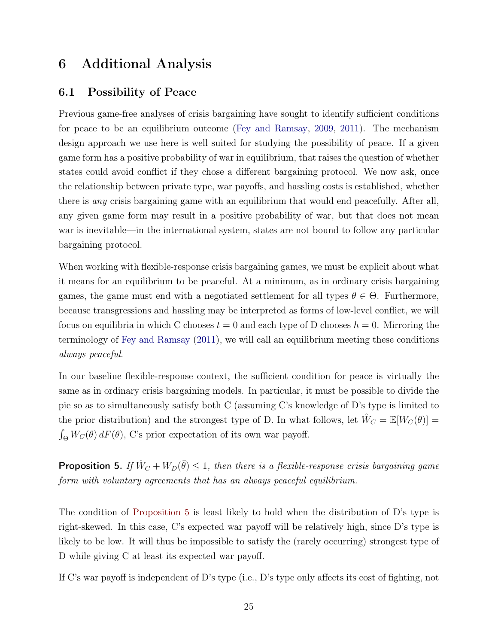## 6 Additional Analysis

### <span id="page-24-1"></span>6.1 Possibility of Peace

Previous game-free analyses of crisis bargaining have sought to identify sufficient conditions for peace to be an equilibrium outcome [\(Fey and Ramsay,](#page-34-6) [2009,](#page-34-6) [2011\)](#page-34-3). The mechanism design approach we use here is well suited for studying the possibility of peace. If a given game form has a positive probability of war in equilibrium, that raises the question of whether states could avoid conflict if they chose a different bargaining protocol. We now ask, once the relationship between private type, war payoffs, and hassling costs is established, whether there is any crisis bargaining game with an equilibrium that would end peacefully. After all, any given game form may result in a positive probability of war, but that does not mean war is inevitable—in the international system, states are not bound to follow any particular bargaining protocol.

When working with flexible-response crisis bargaining games, we must be explicit about what it means for an equilibrium to be peaceful. At a minimum, as in ordinary crisis bargaining games, the game must end with a negotiated settlement for all types  $\theta \in \Theta$ . Furthermore, because transgressions and hassling may be interpreted as forms of low-level conflict, we will focus on equilibria in which C chooses  $t = 0$  and each type of D chooses  $h = 0$ . Mirroring the terminology of [Fey and Ramsay](#page-34-3) [\(2011\)](#page-34-3), we will call an equilibrium meeting these conditions always peaceful.

In our baseline flexible-response context, the sufficient condition for peace is virtually the same as in ordinary crisis bargaining models. In particular, it must be possible to divide the pie so as to simultaneously satisfy both C (assuming C's knowledge of D's type is limited to the prior distribution) and the strongest type of D. In what follows, let  $\hat{W}_C = \mathbb{E}[W_C(\theta)] =$  $\int_{\Theta} W_C(\theta) dF(\theta)$ , C's prior expectation of its own war payoff.

<span id="page-24-0"></span>**Proposition 5.** If  $\hat{W}_C + W_D(\bar{\theta}) \leq 1$ , then there is a flexible-response crisis bargaining game form with voluntary agreements that has an always peaceful equilibrium.

The condition of [Proposition 5](#page-24-0) is least likely to hold when the distribution of D's type is right-skewed. In this case, C's expected war payoff will be relatively high, since D's type is likely to be low. It will thus be impossible to satisfy the (rarely occurring) strongest type of D while giving C at least its expected war payoff.

If C's war payoff is independent of D's type (i.e., D's type only affects its cost of fighting, not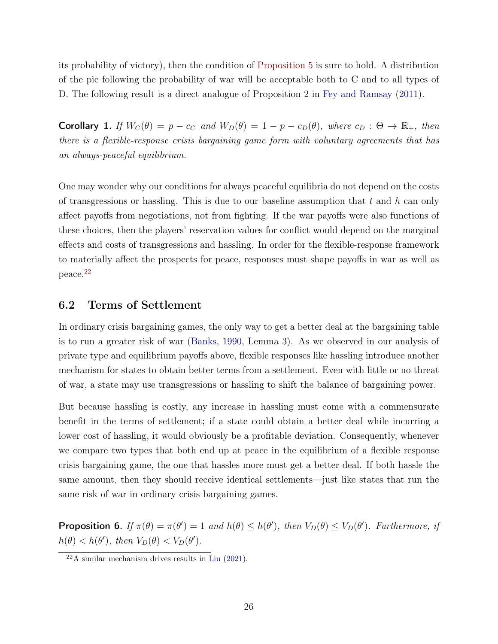its probability of victory), then the condition of [Proposition 5](#page-24-0) is sure to hold. A distribution of the pie following the probability of war will be acceptable both to C and to all types of D. The following result is a direct analogue of Proposition 2 in [Fey and Ramsay](#page-34-3) [\(2011\)](#page-34-3).

**Corollary 1.** If  $W_C(\theta) = p - c_C$  and  $W_D(\theta) = 1 - p - c_D(\theta)$ , where  $c_D : \Theta \to \mathbb{R}_+$ , then there is a flexible-response crisis bargaining game form with voluntary agreements that has an always-peaceful equilibrium.

One may wonder why our conditions for always peaceful equilibria do not depend on the costs of transgressions or hassling. This is due to our baseline assumption that t and h can only affect payoffs from negotiations, not from fighting. If the war payoffs were also functions of these choices, then the players' reservation values for conflict would depend on the marginal effects and costs of transgressions and hassling. In order for the flexible-response framework to materially affect the prospects for peace, responses must shape payoffs in war as well as peace.[22](#page-25-0)

#### <span id="page-25-2"></span>6.2 Terms of Settlement

In ordinary crisis bargaining games, the only way to get a better deal at the bargaining table is to run a greater risk of war [\(Banks,](#page-32-0) [1990,](#page-32-0) Lemma 3). As we observed in our analysis of private type and equilibrium payoffs above, flexible responses like hassling introduce another mechanism for states to obtain better terms from a settlement. Even with little or no threat of war, a state may use transgressions or hassling to shift the balance of bargaining power.

But because hassling is costly, any increase in hassling must come with a commensurate benefit in the terms of settlement; if a state could obtain a better deal while incurring a lower cost of hassling, it would obviously be a profitable deviation. Consequently, whenever we compare two types that both end up at peace in the equilibrium of a flexible response crisis bargaining game, the one that hassles more must get a better deal. If both hassle the same amount, then they should receive identical settlements—just like states that run the same risk of war in ordinary crisis bargaining games.

<span id="page-25-1"></span>**Proposition 6.** If  $\pi(\theta) = \pi(\theta') = 1$  and  $h(\theta) \leq h(\theta')$ , then  $V_D(\theta) \leq V_D(\theta')$ . Furthermore, if  $h(\theta) < h(\theta')$ , then  $V_D(\theta) < V_D(\theta')$ .

<span id="page-25-0"></span> $^{22}$ A similar mechanism drives results in [Liu](#page-36-4) [\(2021\)](#page-36-4).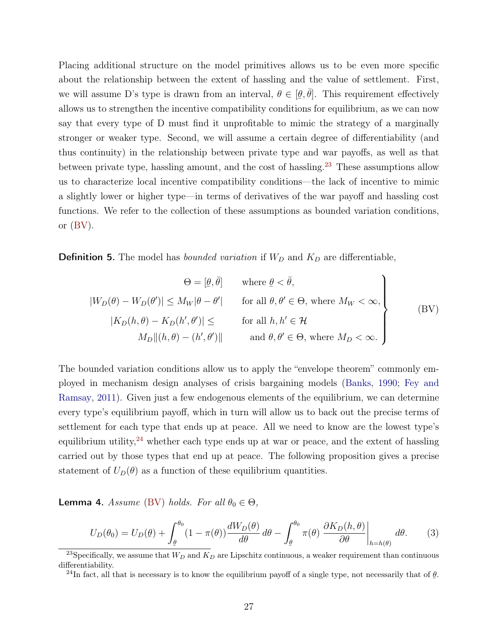Placing additional structure on the model primitives allows us to be even more specific about the relationship between the extent of hassling and the value of settlement. First, we will assume D's type is drawn from an interval,  $\theta \in [$ ¯  $[\hat{\theta}, \bar{\theta}]$ . This requirement effectively allows us to strengthen the incentive compatibility conditions for equilibrium, as we can now say that every type of D must find it unprofitable to mimic the strategy of a marginally stronger or weaker type. Second, we will assume a certain degree of differentiability (and thus continuity) in the relationship between private type and war payoffs, as well as that between private type, hassling amount, and the cost of hassling.<sup>[23](#page-26-0)</sup> These assumptions allow us to characterize local incentive compatibility conditions—the lack of incentive to mimic a slightly lower or higher type—in terms of derivatives of the war payoff and hassling cost functions. We refer to the collection of these assumptions as bounded variation conditions, or  $(BV)$ .

**Definition 5.** The model has *bounded variation* if  $W_D$  and  $K_D$  are differentiable,

<span id="page-26-1"></span>
$$
\Theta = [\underline{\theta}, \overline{\theta}] \quad \text{where } \underline{\theta} < \overline{\theta},
$$
\n
$$
|W_D(\theta) - W_D(\theta')| \le M_W |\theta - \theta'| \quad \text{for all } \theta, \theta' \in \Theta, \text{ where } M_W < \infty,
$$
\n
$$
|K_D(h, \theta) - K_D(h', \theta')| \le \quad \text{for all } h, h' \in \mathcal{H}
$$
\n
$$
M_D || (h, \theta) - (h', \theta') || \quad \text{and } \theta, \theta' \in \Theta, \text{ where } M_D < \infty.
$$
\n
$$
(BV)
$$

The bounded variation conditions allow us to apply the "envelope theorem" commonly employed in mechanism design analyses of crisis bargaining models [\(Banks,](#page-32-0) [1990;](#page-32-0) [Fey and](#page-34-3) [Ramsay,](#page-34-3) [2011\)](#page-34-3). Given just a few endogenous elements of the equilibrium, we can determine every type's equilibrium payoff, which in turn will allow us to back out the precise terms of settlement for each type that ends up at peace. All we need to know are the lowest type's equilibrium utility,<sup>[24](#page-26-2)</sup> whether each type ends up at war or peace, and the extent of hassling carried out by those types that end up at peace. The following proposition gives a precise statement of  $U_D(\theta)$  as a function of these equilibrium quantities.

<span id="page-26-3"></span>**Lemma 4.** Assume [\(BV\)](#page-26-1) holds. For all  $\theta_0 \in \Theta$ ,

$$
U_D(\theta_0) = U_D(\underline{\theta}) + \int_{\underline{\theta}}^{\theta_0} (1 - \pi(\theta)) \frac{dW_D(\theta)}{d\theta} d\theta - \int_{\underline{\theta}}^{\theta_0} \pi(\theta) \left. \frac{\partial K_D(h, \theta)}{\partial \theta} \right|_{h=h(\theta)} d\theta. \tag{3}
$$

<span id="page-26-0"></span><sup>&</sup>lt;sup>23</sup>Specifically, we assume that  $W_D$  and  $K_D$  are Lipschitz continuous, a weaker requirement than continuous differentiability.

<span id="page-26-2"></span><sup>&</sup>lt;sup>24</sup>In fact, all that is necessary is to know the equilibrium payoff of a single type, not necessarily that of  $\underline{\theta}$ .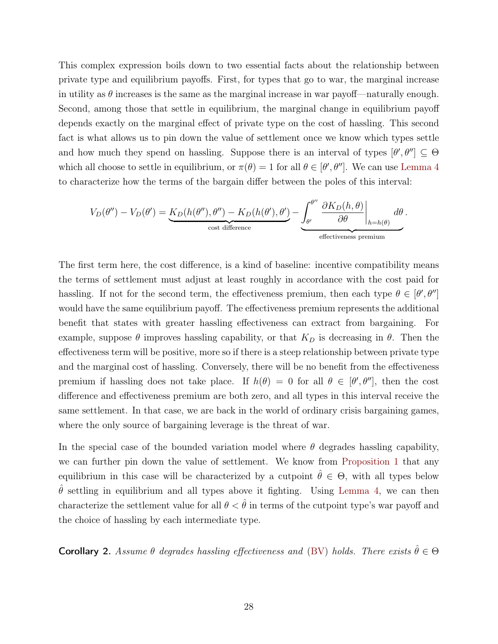This complex expression boils down to two essential facts about the relationship between private type and equilibrium payoffs. First, for types that go to war, the marginal increase in utility as  $\theta$  increases is the same as the marginal increase in war payoff—naturally enough. Second, among those that settle in equilibrium, the marginal change in equilibrium payoff depends exactly on the marginal effect of private type on the cost of hassling. This second fact is what allows us to pin down the value of settlement once we know which types settle and how much they spend on hassling. Suppose there is an interval of types  $[\theta', \theta''] \subseteq \Theta$ which all choose to settle in equilibrium, or  $\pi(\theta) = 1$  for all  $\theta \in [\theta', \theta'']$ . We can use [Lemma 4](#page-26-3) to characterize how the terms of the bargain differ between the poles of this interval:

$$
V_D(\theta'') - V_D(\theta') = \underbrace{K_D(h(\theta''), \theta'') - K_D(h(\theta'), \theta')}_{\text{cost difference}} - \underbrace{\int_{\theta'}^{\theta''} \left. \frac{\partial K_D(h, \theta)}{\partial \theta} \right|_{h=h(\theta)}}_{\text{effectiveness premium}} d\theta.
$$

The first term here, the cost difference, is a kind of baseline: incentive compatibility means the terms of settlement must adjust at least roughly in accordance with the cost paid for hassling. If not for the second term, the effectiveness premium, then each type  $\theta \in [\theta', \theta'']$ would have the same equilibrium payoff. The effectiveness premium represents the additional benefit that states with greater hassling effectiveness can extract from bargaining. For example, suppose  $\theta$  improves has ling capability, or that  $K_D$  is decreasing in  $\theta$ . Then the effectiveness term will be positive, more so if there is a steep relationship between private type and the marginal cost of hassling. Conversely, there will be no benefit from the effectiveness premium if hassling does not take place. If  $h(\theta) = 0$  for all  $\theta \in [\theta', \theta'']$ , then the cost difference and effectiveness premium are both zero, and all types in this interval receive the same settlement. In that case, we are back in the world of ordinary crisis bargaining games, where the only source of bargaining leverage is the threat of war.

In the special case of the bounded variation model where  $\theta$  degrades has ling capability, we can further pin down the value of settlement. We know from [Proposition 1](#page-15-1) that any equilibrium in this case will be characterized by a cutpoint  $\hat{\theta} \in \Theta$ , with all types below  $\theta$  settling in equilibrium and all types above it fighting. Using [Lemma 4,](#page-26-3) we can then characterize the settlement value for all  $\theta < \hat{\theta}$  in terms of the cutpoint type's war payoff and the choice of hassling by each intermediate type.

<span id="page-27-0"></span>**Corollary 2.** Assume  $\theta$  degrades hassling effectiveness and [\(BV\)](#page-26-1) holds. There exists  $\hat{\theta} \in \Theta$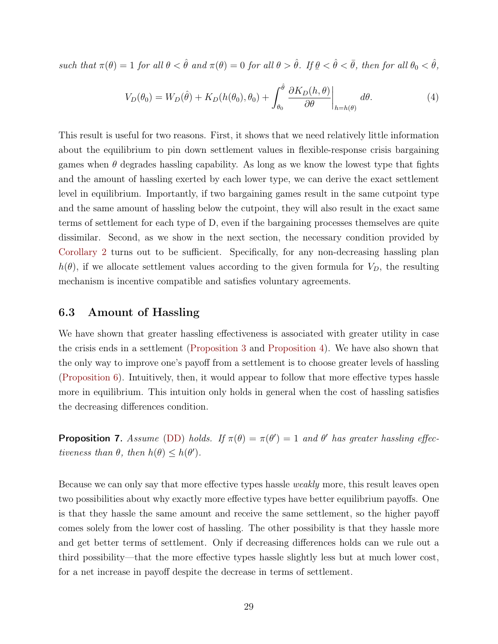such that  $\pi(\theta) = 1$  for all  $\theta < \hat{\theta}$  and  $\pi(\theta) = 0$  for all  $\theta > \hat{\theta}$ . If  $\underline{\theta} < \hat{\theta} < \overline{\theta}$ , then for all  $\theta_0 < \hat{\theta}$ ,

<span id="page-28-1"></span>
$$
V_D(\theta_0) = W_D(\hat{\theta}) + K_D(h(\theta_0), \theta_0) + \int_{\theta_0}^{\hat{\theta}} \left. \frac{\partial K_D(h, \theta)}{\partial \theta} \right|_{h=h(\theta)} d\theta. \tag{4}
$$

This result is useful for two reasons. First, it shows that we need relatively little information about the equilibrium to pin down settlement values in flexible-response crisis bargaining games when  $\theta$  degrades hassling capability. As long as we know the lowest type that fights and the amount of hassling exerted by each lower type, we can derive the exact settlement level in equilibrium. Importantly, if two bargaining games result in the same cutpoint type and the same amount of hassling below the cutpoint, they will also result in the exact same terms of settlement for each type of D, even if the bargaining processes themselves are quite dissimilar. Second, as we show in the next section, the necessary condition provided by [Corollary 2](#page-27-0) turns out to be sufficient. Specifically, for any non-decreasing hassling plan  $h(\theta)$ , if we allocate settlement values according to the given formula for  $V_D$ , the resulting mechanism is incentive compatible and satisfies voluntary agreements.

#### 6.3 Amount of Hassling

We have shown that greater hassling effectiveness is associated with greater utility in case the crisis ends in a settlement [\(Proposition 3](#page-18-1) and [Proposition 4\)](#page-19-0). We have also shown that the only way to improve one's payoff from a settlement is to choose greater levels of hassling [\(Proposition 6\)](#page-25-1). Intuitively, then, it would appear to follow that more effective types hassle more in equilibrium. This intuition only holds in general when the cost of hassling satisfies the decreasing differences condition.

<span id="page-28-0"></span>**Proposition 7.** Assume [\(DD\)](#page-11-0) holds. If  $\pi(\theta) = \pi(\theta') = 1$  and  $\theta'$  has greater hassling effectiveness than  $\theta$ , then  $h(\theta) \leq h(\theta')$ .

Because we can only say that more effective types has le *weakly* more, this result leaves open two possibilities about why exactly more effective types have better equilibrium payoffs. One is that they hassle the same amount and receive the same settlement, so the higher payoff comes solely from the lower cost of hassling. The other possibility is that they hassle more and get better terms of settlement. Only if decreasing differences holds can we rule out a third possibility—that the more effective types hassle slightly less but at much lower cost, for a net increase in payoff despite the decrease in terms of settlement.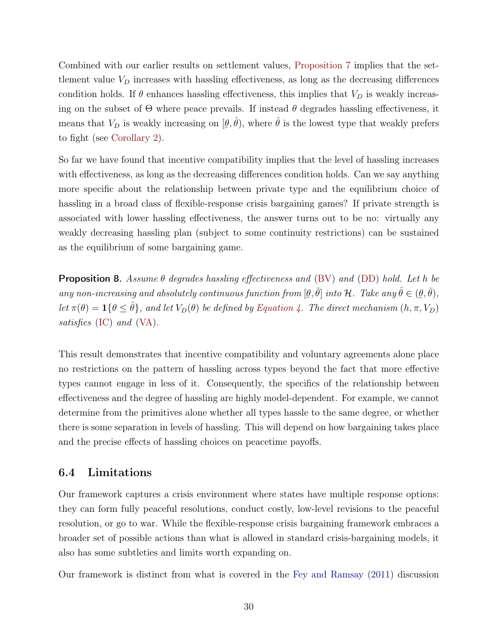Combined with our earlier results on settlement values, [Proposition 7](#page-28-0) implies that the settlement value  $V_D$  increases with hassling effectiveness, as long as the decreasing differences condition holds. If  $\theta$  enhances has ling effectiveness, this implies that  $V_D$  is weakly increasing on the subset of  $\Theta$  where peace prevails. If instead  $\theta$  degrades hassling effectiveness, it means that  $V_D$  is weakly increasing on  $[\underline{\theta}]$  $(\theta, \hat{\theta})$ , where  $\hat{\theta}$  is the lowest type that weakly prefers to fight (see [Corollary 2\)](#page-27-0).

So far we have found that incentive compatibility implies that the level of hassling increases with effectiveness, as long as the decreasing differences condition holds. Can we say anything more specific about the relationship between private type and the equilibrium choice of hassling in a broad class of flexible-response crisis bargaining games? If private strength is associated with lower hassling effectiveness, the answer turns out to be no: virtually any weakly decreasing hassling plan (subject to some continuity restrictions) can be sustained as the equilibrium of some bargaining game.

**Proposition 8.** Assume  $\theta$  degrades hassling effectiveness and [\(BV\)](#page-26-1) and [\(DD\)](#page-11-0) hold. Let h be any non-increasing and absolutely continuous function from  $[\theta, \bar{\theta}]$  into H. Take any  $\hat{\theta} \in (\theta, \bar{\theta}),$ Let  $\pi(\theta) = \mathbf{1}{\lbrace \theta \leq \hat{\theta} \rbrace}$ , and let  $V_D(\theta)$  be defined by [Equation 4.](#page-28-1) The direct mechanism  $(h, \pi, V_D)$ satisfies [\(IC\)](#page-12-2) and [\(VA\)](#page-13-0).

This result demonstrates that incentive compatibility and voluntary agreements alone place no restrictions on the pattern of hassling across types beyond the fact that more effective types cannot engage in less of it. Consequently, the specifics of the relationship between effectiveness and the degree of hassling are highly model-dependent. For example, we cannot determine from the primitives alone whether all types hassle to the same degree, or whether there is some separation in levels of hassling. This will depend on how bargaining takes place and the precise effects of hassling choices on peacetime payoffs.

#### <span id="page-29-0"></span>6.4 Limitations

Our framework captures a crisis environment where states have multiple response options: they can form fully peaceful resolutions, conduct costly, low-level revisions to the peaceful resolution, or go to war. While the flexible-response crisis bargaining framework embraces a broader set of possible actions than what is allowed in standard crisis-bargaining models, it also has some subtleties and limits worth expanding on.

Our framework is distinct from what is covered in the [Fey and Ramsay](#page-34-3) [\(2011\)](#page-34-3) discussion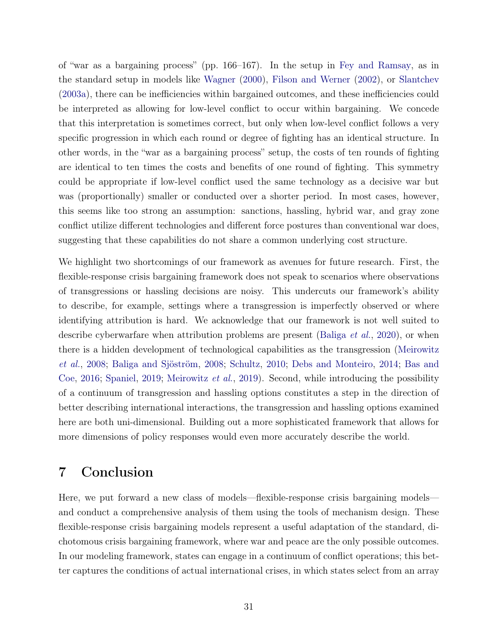of "war as a bargaining process" (pp. 166–167). In the setup in [Fey and Ramsay,](#page-34-3) as in the standard setup in models like [Wagner](#page-39-0) [\(2000\)](#page-39-0), [Filson and Werner](#page-34-13) [\(2002\)](#page-34-13), or [Slantchev](#page-38-13) [\(2003a\)](#page-38-13), there can be inefficiencies within bargained outcomes, and these inefficiencies could be interpreted as allowing for low-level conflict to occur within bargaining. We concede that this interpretation is sometimes correct, but only when low-level conflict follows a very specific progression in which each round or degree of fighting has an identical structure. In other words, in the "war as a bargaining process" setup, the costs of ten rounds of fighting are identical to ten times the costs and benefits of one round of fighting. This symmetry could be appropriate if low-level conflict used the same technology as a decisive war but was (proportionally) smaller or conducted over a shorter period. In most cases, however, this seems like too strong an assumption: sanctions, hassling, hybrid war, and gray zone conflict utilize different technologies and different force postures than conventional war does, suggesting that these capabilities do not share a common underlying cost structure.

We highlight two shortcomings of our framework as avenues for future research. First, the flexible-response crisis bargaining framework does not speak to scenarios where observations of transgressions or hassling decisions are noisy. This undercuts our framework's ability to describe, for example, settings where a transgression is imperfectly observed or where identifying attribution is hard. We acknowledge that our framework is not well suited to describe cyberwarfare when attribution problems are present [\(Baliga](#page-32-2) *et al.*, [2020\)](#page-32-2), or when there is a hidden development of technological capabilities as the transgression [\(Meirowitz](#page-36-0) [et al.](#page-36-0), [2008;](#page-36-0) [Baliga and Sjöström,](#page-32-12) [2008;](#page-32-12) [Schultz,](#page-38-4) [2010;](#page-38-4) [Debs and Monteiro,](#page-34-5) [2014;](#page-34-5) [Bas and](#page-32-13) [Coe,](#page-32-13) [2016;](#page-32-13) [Spaniel,](#page-38-7) [2019;](#page-38-7) [Meirowitz](#page-36-14) et al., [2019\)](#page-36-14). Second, while introducing the possibility of a continuum of transgression and hassling options constitutes a step in the direction of better describing international interactions, the transgression and hassling options examined here are both uni-dimensional. Building out a more sophisticated framework that allows for more dimensions of policy responses would even more accurately describe the world.

## <span id="page-30-0"></span>7 Conclusion

Here, we put forward a new class of models—flexible-response crisis bargaining models and conduct a comprehensive analysis of them using the tools of mechanism design. These flexible-response crisis bargaining models represent a useful adaptation of the standard, dichotomous crisis bargaining framework, where war and peace are the only possible outcomes. In our modeling framework, states can engage in a continuum of conflict operations; this better captures the conditions of actual international crises, in which states select from an array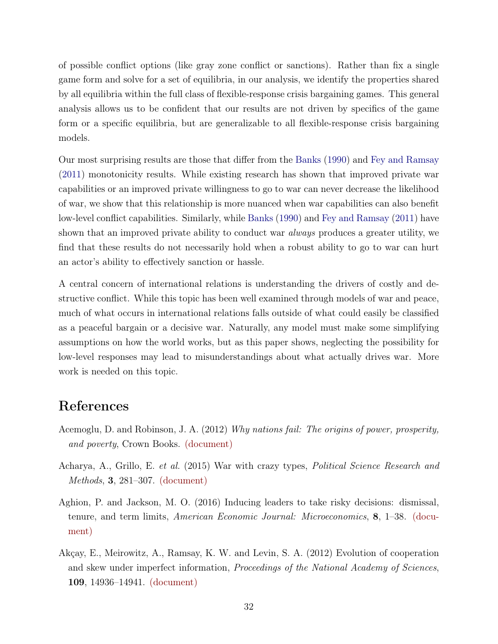of possible conflict options (like gray zone conflict or sanctions). Rather than fix a single game form and solve for a set of equilibria, in our analysis, we identify the properties shared by all equilibria within the full class of flexible-response crisis bargaining games. This general analysis allows us to be confident that our results are not driven by specifics of the game form or a specific equilibria, but are generalizable to all flexible-response crisis bargaining models.

Our most surprising results are those that differ from the [Banks](#page-32-0) [\(1990\)](#page-32-0) and [Fey and Ramsay](#page-34-3) [\(2011\)](#page-34-3) monotonicity results. While existing research has shown that improved private war capabilities or an improved private willingness to go to war can never decrease the likelihood of war, we show that this relationship is more nuanced when war capabilities can also benefit low-level conflict capabilities. Similarly, while [Banks](#page-32-0) [\(1990\)](#page-32-0) and [Fey and Ramsay](#page-34-3) [\(2011\)](#page-34-3) have shown that an improved private ability to conduct war *always* produces a greater utility, we find that these results do not necessarily hold when a robust ability to go to war can hurt an actor's ability to effectively sanction or hassle.

A central concern of international relations is understanding the drivers of costly and destructive conflict. While this topic has been well examined through models of war and peace, much of what occurs in international relations falls outside of what could easily be classified as a peaceful bargain or a decisive war. Naturally, any model must make some simplifying assumptions on how the world works, but as this paper shows, neglecting the possibility for low-level responses may lead to misunderstandings about what actually drives war. More work is needed on this topic.

## References

- <span id="page-31-3"></span>Acemoglu, D. and Robinson, J. A. (2012) Why nations fail: The origins of power, prosperity, and poverty, Crown Books. [\(document\)](#page-0-0)
- <span id="page-31-0"></span>Acharya, A., Grillo, E. et al. (2015) War with crazy types, Political Science Research and Methods, 3, 281–307. [\(document\)](#page-0-0)
- <span id="page-31-2"></span>Aghion, P. and Jackson, M. O. (2016) Inducing leaders to take risky decisions: dismissal, tenure, and term limits, American Economic Journal: Microeconomics, 8, 1–38. [\(docu](#page-0-0)[ment\)](#page-0-0)
- <span id="page-31-1"></span>Akçay, E., Meirowitz, A., Ramsay, K. W. and Levin, S. A. (2012) Evolution of cooperation and skew under imperfect information, *Proceedings of the National Academy of Sciences*, 109, 14936–14941. [\(document\)](#page-0-0)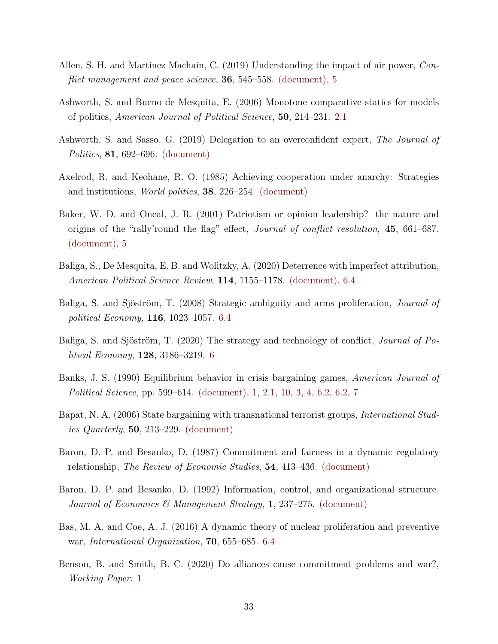- <span id="page-32-5"></span>Allen, S. H. and Martinez Machain, C. (2019) Understanding the impact of air power, Conflict management and peace science, **36**, 545–558. [\(document\),](#page-0-0) [5](#page-20-0)
- <span id="page-32-11"></span>Ashworth, S. and Bueno de Mesquita, E. (2006) Monotone comparative statics for models of politics, American Journal of Political Science, 50, 214–231. [2.1](#page-10-6)
- <span id="page-32-6"></span>Ashworth, S. and Sasso, G. (2019) Delegation to an overconfident expert, The Journal of Politics, 81, 692–696. [\(document\)](#page-0-0)
- <span id="page-32-4"></span>Axelrod, R. and Keohane, R. O. (1985) Achieving cooperation under anarchy: Strategies and institutions, World politics, 38, 226–254. [\(document\)](#page-0-0)
- <span id="page-32-3"></span>Baker, W. D. and Oneal, J. R. (2001) Patriotism or opinion leadership? the nature and origins of the "rally'round the flag" effect, Journal of conflict resolution, 45, 661–687. [\(document\),](#page-0-0) [5](#page-23-0)
- <span id="page-32-2"></span>Baliga, S., De Mesquita, E. B. and Wolitzky, A. (2020) Deterrence with imperfect attribution, American Political Science Review, 114, 1155–1178. [\(document\),](#page-0-0) [6.4](#page-29-0)
- <span id="page-32-12"></span>Baliga, S. and Sjöström, T. (2008) Strategic ambiguity and arms proliferation, Journal of political Economy, 116, 1023–1057. [6.4](#page-29-0)
- <span id="page-32-10"></span>Baliga, S. and Sjöström, T. (2020) The strategy and technology of conflict, Journal of Political Economy, 128, 3186–3219. [6](#page-8-0)
- <span id="page-32-0"></span>Banks, J. S. (1990) Equilibrium behavior in crisis bargaining games, American Journal of Political Science, pp. 599–614. [\(document\),](#page-0-0) [1,](#page-7-0) [2.1,](#page-9-1) [10,](#page-10-2) [3,](#page-13-1) [4,](#page-17-1) [6.2,](#page-25-2) [6.2,](#page-26-1) [7](#page-30-0)
- <span id="page-32-1"></span>Bapat, N. A. (2006) State bargaining with transnational terrorist groups, *International Stud*ies Quarterly, 50, 213–229. [\(document\)](#page-0-0)
- <span id="page-32-7"></span>Baron, D. P. and Besanko, D. (1987) Commitment and fairness in a dynamic regulatory relationship, The Review of Economic Studies, 54, 413–436. [\(document\)](#page-0-0)
- <span id="page-32-8"></span>Baron, D. P. and Besanko, D. (1992) Information, control, and organizational structure, Journal of Economics & Management Strategy, 1, 237–275. [\(document\)](#page-0-0)
- <span id="page-32-13"></span>Bas, M. A. and Coe, A. J. (2016) A dynamic theory of nuclear proliferation and preventive war, International Organization, 70, 655–685. [6.4](#page-29-0)
- <span id="page-32-9"></span>Benson, B. and Smith, B. C. (2020) Do alliances cause commitment problems and war?, Working Paper. [1](#page-7-0)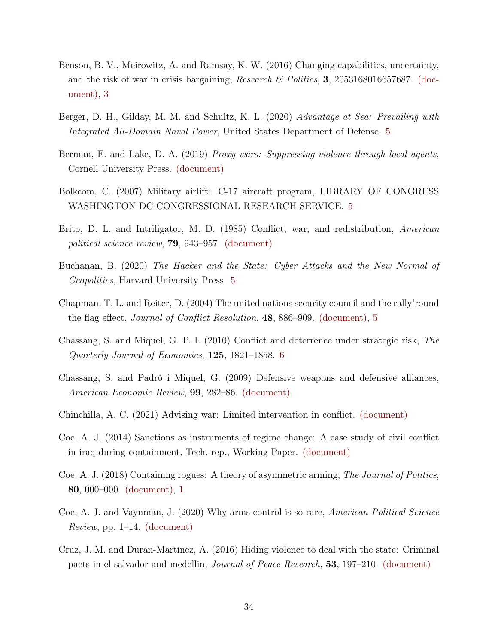- <span id="page-33-2"></span>Benson, B. V., Meirowitz, A. and Ramsay, K. W. (2016) Changing capabilities, uncertainty, and the risk of war in crisis bargaining, Research  $\mathscr{C}$  Politics, 3, 2053168016657687. [\(doc](#page-0-0)[ument\),](#page-0-0) [3](#page-13-1)
- <span id="page-33-13"></span>Berger, D. H., Gilday, M. M. and Schultz, K. L. (2020) Advantage at Sea: Prevailing with Integrated All-Domain Naval Power, United States Department of Defense. [5](#page-23-0)
- <span id="page-33-4"></span>Berman, E. and Lake, D. A. (2019) Proxy wars: Suppressing violence through local agents, Cornell University Press. [\(document\)](#page-0-0)
- <span id="page-33-12"></span>Bolkcom, C. (2007) Military airlift: C-17 aircraft program, LIBRARY OF CONGRESS WASHINGTON DC CONGRESSIONAL RESEARCH SERVICE. [5](#page-20-0)
- <span id="page-33-1"></span>Brito, D. L. and Intriligator, M. D. (1985) Conflict, war, and redistribution, American political science review, 79, 943–957. [\(document\)](#page-0-0)
- <span id="page-33-11"></span>Buchanan, B. (2020) The Hacker and the State: Cyber Attacks and the New Normal of Geopolitics, Harvard University Press. [5](#page-20-0)
- <span id="page-33-7"></span>Chapman, T. L. and Reiter, D. (2004) The united nations security council and the rally'round the flag effect, Journal of Conflict Resolution, 48, 886–909. [\(document\),](#page-0-0) [5](#page-23-0)
- <span id="page-33-10"></span>Chassang, S. and Miquel, G. P. I. (2010) Conflict and deterrence under strategic risk, The Quarterly Journal of Economics, 125, 1821–1858. [6](#page-8-0)
- <span id="page-33-0"></span>Chassang, S. and Padró i Miquel, G. (2009) Defensive weapons and defensive alliances, American Economic Review, 99, 282–86. [\(document\)](#page-0-0)
- <span id="page-33-5"></span>Chinchilla, A. C. (2021) Advising war: Limited intervention in conflict. [\(document\)](#page-0-0)
- <span id="page-33-3"></span>Coe, A. J. (2014) Sanctions as instruments of regime change: A case study of civil conflict in iraq during containment, Tech. rep., Working Paper. [\(document\)](#page-0-0)
- <span id="page-33-8"></span>Coe, A. J. (2018) Containing rogues: A theory of asymmetric arming, The Journal of Politics, 80, 000–000. [\(document\),](#page-0-0) [1](#page-7-0)
- <span id="page-33-6"></span>Coe, A. J. and Vaynman, J. (2020) Why arms control is so rare, American Political Science *Review*, pp. 1–14. [\(document\)](#page-0-0)
- <span id="page-33-9"></span>Cruz, J. M. and Durán-Martínez, A. (2016) Hiding violence to deal with the state: Criminal pacts in el salvador and medellin, Journal of Peace Research, 53, 197–210. [\(document\)](#page-0-0)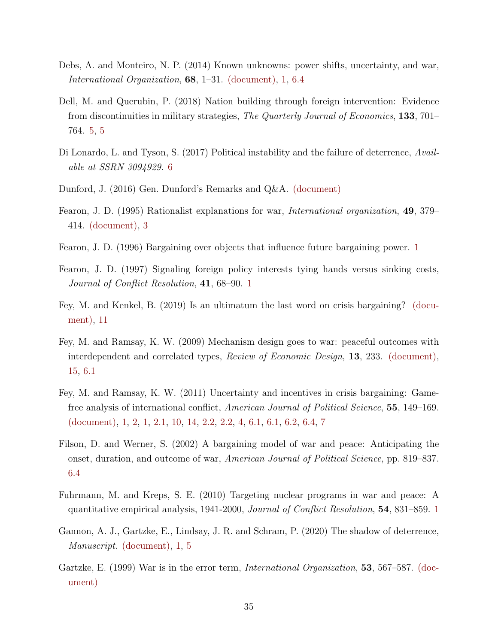- <span id="page-34-5"></span>Debs, A. and Monteiro, N. P. (2014) Known unknowns: power shifts, uncertainty, and war, International Organization, 68, 1–31. [\(document\),](#page-0-0) [1,](#page-7-0) [6.4](#page-29-0)
- <span id="page-34-12"></span>Dell, M. and Querubin, P. (2018) Nation building through foreign intervention: Evidence from discontinuities in military strategies, The Quarterly Journal of Economics, 133, 701– 764. [5,](#page-20-0) [5](#page-23-0)
- <span id="page-34-11"></span>Di Lonardo, L. and Tyson, S. (2017) Political instability and the failure of deterrence, Available at SSRN 3094929. [6](#page-8-0)
- <span id="page-34-0"></span>Dunford, J. (2016) Gen. Dunford's Remarks and Q&A. [\(document\)](#page-0-0)
- <span id="page-34-1"></span>Fearon, J. D. (1995) Rationalist explanations for war, International organization, 49, 379– 414. [\(document\),](#page-0-0) [3](#page-13-1)
- <span id="page-34-9"></span>Fearon, J. D. (1996) Bargaining over objects that influence future bargaining power. [1](#page-7-0)
- <span id="page-34-8"></span>Fearon, J. D. (1997) Signaling foreign policy interests tying hands versus sinking costs, Journal of Conflict Resolution, 41, 68–90. [1](#page-7-0)
- <span id="page-34-7"></span>Fey, M. and Kenkel, B. (2019) Is an ultimatum the last word on crisis bargaining? [\(docu](#page-0-0)[ment\),](#page-0-0) [11](#page-10-3)
- <span id="page-34-6"></span>Fey, M. and Ramsay, K. W. (2009) Mechanism design goes to war: peaceful outcomes with interdependent and correlated types, Review of Economic Design, 13, 233. [\(document\),](#page-0-0) [15,](#page-12-1) [6.1](#page-24-1)
- <span id="page-34-3"></span>Fey, M. and Ramsay, K. W. (2011) Uncertainty and incentives in crisis bargaining: Gamefree analysis of international conflict, American Journal of Political Science, 55, 149–169. [\(document\),](#page-0-0) [1,](#page-1-0) [2,](#page-1-1) [1,](#page-7-0) [2.1,](#page-9-1) [10,](#page-10-2) [14,](#page-12-0) [2.2,](#page-12-2) [2.2,](#page-13-0) [4,](#page-17-1) [6.1,](#page-24-1) [6.1,](#page-24-0) [6.2,](#page-26-1) [6.4,](#page-29-0) [7](#page-30-0)
- <span id="page-34-13"></span>Filson, D. and Werner, S. (2002) A bargaining model of war and peace: Anticipating the onset, duration, and outcome of war, American Journal of Political Science, pp. 819–837. [6.4](#page-29-0)
- <span id="page-34-10"></span>Fuhrmann, M. and Kreps, S. E. (2010) Targeting nuclear programs in war and peace: A quantitative empirical analysis, 1941-2000, Journal of Conflict Resolution, 54, 831–859. [1](#page-7-0)
- <span id="page-34-4"></span>Gannon, A. J., Gartzke, E., Lindsay, J. R. and Schram, P. (2020) The shadow of deterrence, Manuscript. [\(document\),](#page-0-0) [1,](#page-7-0) [5](#page-20-0)
- <span id="page-34-2"></span>Gartzke, E. (1999) War is in the error term, *International Organization*, **53**, 567–587. [\(doc](#page-0-0)[ument\)](#page-0-0)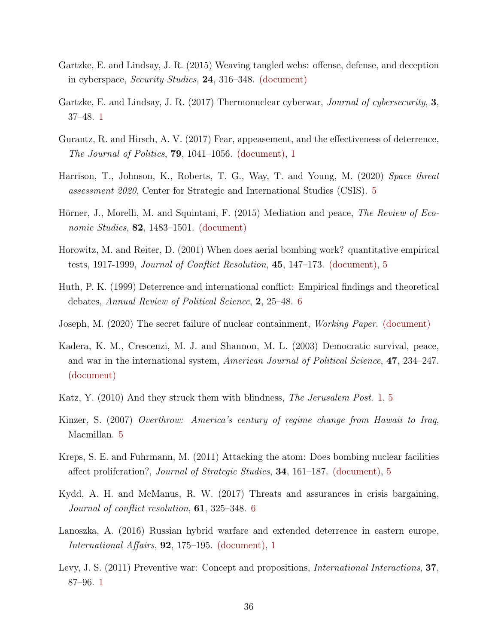- <span id="page-35-4"></span>Gartzke, E. and Lindsay, J. R. (2015) Weaving tangled webs: offense, defense, and deception in cyberspace, Security Studies, 24, 316–348. [\(document\)](#page-0-0)
- <span id="page-35-9"></span>Gartzke, E. and Lindsay, J. R. (2017) Thermonuclear cyberwar, *Journal of cybersecurity*, 3, 37–48. [1](#page-7-0)
- <span id="page-35-0"></span>Gurantz, R. and Hirsch, A. V. (2017) Fear, appeasement, and the effectiveness of deterrence, The Journal of Politics, 79, 1041–1056. [\(document\),](#page-0-0) [1](#page-7-0)
- <span id="page-35-13"></span>Harrison, T., Johnson, K., Roberts, T. G., Way, T. and Young, M. (2020) Space threat assessment 2020, Center for Strategic and International Studies (CSIS). [5](#page-20-0)
- <span id="page-35-7"></span>Hörner, J., Morelli, M. and Squintani, F. (2015) Mediation and peace, *The Review of Eco*nomic Studies, 82, 1483–1501. [\(document\)](#page-0-0)
- <span id="page-35-5"></span>Horowitz, M. and Reiter, D. (2001) When does aerial bombing work? quantitative empirical tests, 1917-1999, Journal of Conflict Resolution, 45, 147–173. [\(document\),](#page-0-0) [5](#page-20-0)
- <span id="page-35-11"></span>Huth, P. K. (1999) Deterrence and international conflict: Empirical findings and theoretical debates, Annual Review of Political Science, 2, 25–48. [6](#page-8-0)
- <span id="page-35-1"></span>Joseph, M. (2020) The secret failure of nuclear containment, Working Paper. [\(document\)](#page-0-0)
- <span id="page-35-2"></span>Kadera, K. M., Crescenzi, M. J. and Shannon, M. L. (2003) Democratic survival, peace, and war in the international system, American Journal of Political Science, 47, 234–247. [\(document\)](#page-0-0)
- <span id="page-35-8"></span>Katz, Y. (2010) And they struck them with blindness, The Jerusalem Post. [1,](#page-7-0) [5](#page-20-0)
- <span id="page-35-14"></span>Kinzer, S. (2007) Overthrow: America's century of regime change from Hawaii to Iraq, Macmillan. [5](#page-23-0)
- <span id="page-35-6"></span>Kreps, S. E. and Fuhrmann, M. (2011) Attacking the atom: Does bombing nuclear facilities affect proliferation?, Journal of Strategic Studies, 34, 161–187. [\(document\),](#page-0-0) [5](#page-20-0)
- <span id="page-35-12"></span>Kydd, A. H. and McManus, R. W. (2017) Threats and assurances in crisis bargaining, Journal of conflict resolution, 61, 325–348. [6](#page-8-0)
- <span id="page-35-3"></span>Lanoszka, A. (2016) Russian hybrid warfare and extended deterrence in eastern europe, International Affairs, 92, 175–195. [\(document\),](#page-0-0) [1](#page-7-0)
- <span id="page-35-10"></span>Levy, J. S. (2011) Preventive war: Concept and propositions, *International Interactions*, 37, 87–96. [1](#page-7-0)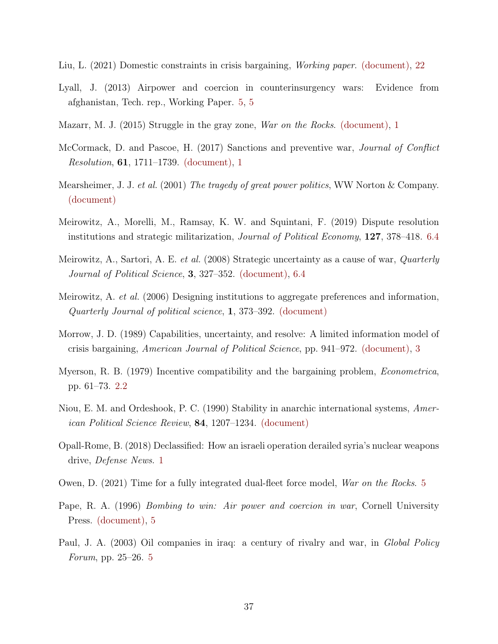- <span id="page-36-4"></span>Liu, L. (2021) Domestic constraints in crisis bargaining, Working paper. [\(document\),](#page-0-0) [22](#page-25-0)
- <span id="page-36-11"></span>Lyall, J. (2013) Airpower and coercion in counterinsurgency wars: Evidence from afghanistan, Tech. rep., Working Paper. [5,](#page-20-0) [5](#page-23-0)
- <span id="page-36-3"></span>Mazarr, M. J. (2015) Struggle in the gray zone, War on the Rocks. [\(document\),](#page-0-0) [1](#page-7-0)
- <span id="page-36-2"></span>McCormack, D. and Pascoe, H. (2017) Sanctions and preventive war, Journal of Conflict Resolution, 61, 1711–1739. [\(document\),](#page-0-0) [1](#page-7-0)
- <span id="page-36-6"></span>Mearsheimer, J. J. et al. (2001) The tragedy of great power politics, WW Norton & Company. [\(document\)](#page-0-0)
- <span id="page-36-14"></span>Meirowitz, A., Morelli, M., Ramsay, K. W. and Squintani, F. (2019) Dispute resolution institutions and strategic militarization, Journal of Political Economy, 127, 378–418. [6.4](#page-29-0)
- <span id="page-36-0"></span>Meirowitz, A., Sartori, A. E. *et al.* (2008) Strategic uncertainty as a cause of war, *Quarterly* Journal of Political Science, 3, 327–352. [\(document\),](#page-0-0) [6.4](#page-29-0)
- <span id="page-36-8"></span>Meirowitz, A. et al. (2006) Designing institutions to aggregate preferences and information, Quarterly Journal of political science, 1, 373–392. [\(document\)](#page-0-0)
- <span id="page-36-1"></span>Morrow, J. D. (1989) Capabilities, uncertainty, and resolve: A limited information model of crisis bargaining, American Journal of Political Science, pp. 941–972. [\(document\),](#page-0-0) [3](#page-13-1)
- <span id="page-36-10"></span>Myerson, R. B. (1979) Incentive compatibility and the bargaining problem, Econometrica, pp. 61–73. [2.2](#page-12-2)
- <span id="page-36-5"></span>Niou, E. M. and Ordeshook, P. C. (1990) Stability in anarchic international systems, American Political Science Review, 84, 1207–1234. [\(document\)](#page-0-0)
- <span id="page-36-9"></span>Opall-Rome, B. (2018) Declassified: How an israeli operation derailed syria's nuclear weapons drive, Defense News. [1](#page-7-0)
- <span id="page-36-12"></span>Owen, D. (2021) Time for a fully integrated dual-fleet force model, War on the Rocks. [5](#page-23-0)
- <span id="page-36-7"></span>Pape, R. A. (1996) *Bombing to win: Air power and coercion in war*, Cornell University Press. [\(document\),](#page-0-0) [5](#page-20-0)
- <span id="page-36-13"></span>Paul, J. A. (2003) Oil companies in iraq: a century of rivalry and war, in *Global Policy* Forum, pp. 25–26. [5](#page-23-0)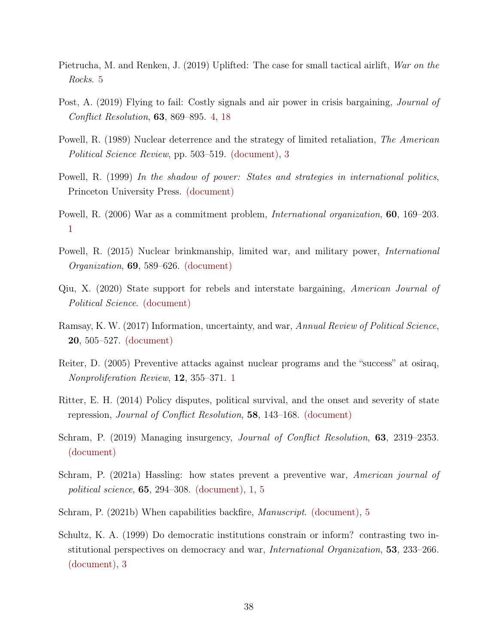- <span id="page-37-13"></span>Pietrucha, M. and Renken, J. (2019) Uplifted: The case for small tactical airlift, War on the Rocks. [5](#page-20-0)
- <span id="page-37-8"></span>Post, A. (2019) Flying to fail: Costly signals and air power in crisis bargaining, *Journal of* Conflict Resolution, 63, 869–895. [4,](#page-6-0) [18](#page-20-1)
- <span id="page-37-3"></span>Powell, R. (1989) Nuclear deterrence and the strategy of limited retaliation, The American Political Science Review, pp. 503–519. [\(document\),](#page-0-0) [3](#page-13-1)
- <span id="page-37-0"></span>Powell, R. (1999) In the shadow of power: States and strategies in international politics, Princeton University Press. [\(document\)](#page-0-0)
- <span id="page-37-11"></span>Powell, R. (2006) War as a commitment problem, International organization, 60, 169–203. [1](#page-7-0)
- <span id="page-37-7"></span>Powell, R. (2015) Nuclear brinkmanship, limited war, and military power, International Organization, 69, 589–626. [\(document\)](#page-0-0)
- <span id="page-37-4"></span>Qiu, X. (2020) State support for rebels and interstate bargaining, American Journal of Political Science. [\(document\)](#page-0-0)
- <span id="page-37-2"></span>Ramsay, K. W. (2017) Information, uncertainty, and war, Annual Review of Political Science, 20, 505–527. [\(document\)](#page-0-0)
- <span id="page-37-12"></span>Reiter, D. (2005) Preventive attacks against nuclear programs and the "success" at osiraq, Nonproliferation Review, 12, 355–371. [1](#page-7-0)
- <span id="page-37-10"></span>Ritter, E. H. (2014) Policy disputes, political survival, and the onset and severity of state repression, Journal of Conflict Resolution, 58, 143–168. [\(document\)](#page-0-0)
- <span id="page-37-9"></span>Schram, P. (2019) Managing insurgency, *Journal of Conflict Resolution*, **63**, 2319–2353. [\(document\)](#page-0-0)
- <span id="page-37-5"></span>Schram, P. (2021a) Hassling: how states prevent a preventive war, American journal of political science, 65, 294–308. [\(document\),](#page-0-0) [1,](#page-7-0) [5](#page-20-0)
- <span id="page-37-6"></span>Schram, P. (2021b) When capabilities backfire, Manuscript. [\(document\),](#page-0-0) [5](#page-6-1)
- <span id="page-37-1"></span>Schultz, K. A. (1999) Do democratic institutions constrain or inform? contrasting two institutional perspectives on democracy and war, *International Organization*, **53**, 233–266. [\(document\),](#page-0-0) [3](#page-13-1)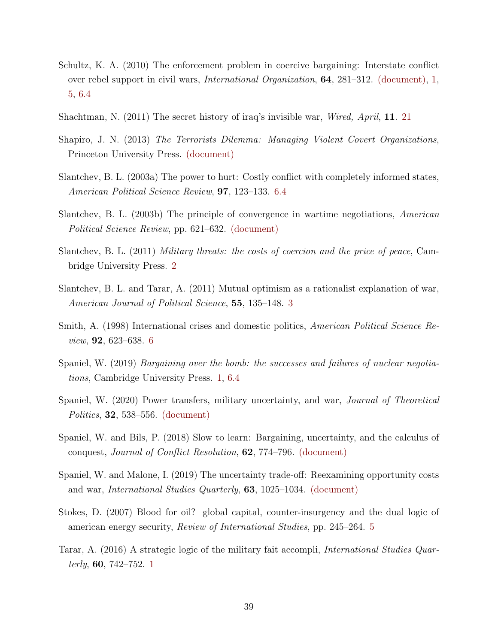- <span id="page-38-4"></span>Schultz, K. A. (2010) The enforcement problem in coercive bargaining: Interstate conflict over rebel support in civil wars, International Organization, 64, 281–312. [\(document\),](#page-0-0) [1,](#page-7-0) [5,](#page-20-0) [6.4](#page-29-0)
- <span id="page-38-12"></span>Shachtman, N. (2011) The secret history of iraq's invisible war, Wired, April, 11. [21](#page-22-0)
- <span id="page-38-6"></span>Shapiro, J. N. (2013) The Terrorists Dilemma: Managing Violent Covert Organizations, Princeton University Press. [\(document\)](#page-0-0)
- <span id="page-38-13"></span>Slantchev, B. L. (2003a) The power to hurt: Costly conflict with completely informed states, American Political Science Review, 97, 123–133. [6.4](#page-29-0)
- <span id="page-38-0"></span>Slantchev, B. L. (2003b) The principle of convergence in wartime negotiations, American Political Science Review, pp. 621–632. [\(document\)](#page-0-0)
- <span id="page-38-3"></span>Slantchev, B. L. (2011) Military threats: the costs of coercion and the price of peace, Cambridge University Press. [2](#page-1-1)
- <span id="page-38-10"></span>Slantchev, B. L. and Tarar, A. (2011) Mutual optimism as a rationalist explanation of war, American Journal of Political Science, 55, 135–148. [3](#page-13-1)
- <span id="page-38-8"></span>Smith, A. (1998) International crises and domestic politics, *American Political Science Re*view, 92, 623–638. [6](#page-8-0)
- <span id="page-38-7"></span>Spaniel, W. (2019) Bargaining over the bomb: the successes and failures of nuclear negotiations, Cambridge University Press. [1,](#page-7-0) [6.4](#page-29-0)
- <span id="page-38-5"></span>Spaniel, W. (2020) Power transfers, military uncertainty, and war, Journal of Theoretical Politics, 32, 538–556. [\(document\)](#page-0-0)
- <span id="page-38-1"></span>Spaniel, W. and Bils, P. (2018) Slow to learn: Bargaining, uncertainty, and the calculus of conquest, Journal of Conflict Resolution, 62, 774–796. [\(document\)](#page-0-0)
- <span id="page-38-2"></span>Spaniel, W. and Malone, I. (2019) The uncertainty trade-off: Reexamining opportunity costs and war, International Studies Quarterly, 63, 1025–1034. [\(document\)](#page-0-0)
- <span id="page-38-11"></span>Stokes, D. (2007) Blood for oil? global capital, counter-insurgency and the dual logic of american energy security, Review of International Studies, pp. 245–264. [5](#page-23-0)
- <span id="page-38-9"></span>Tarar, A. (2016) A strategic logic of the military fait accompli, International Studies Quarterly, 60, 742–752. [1](#page-7-0)